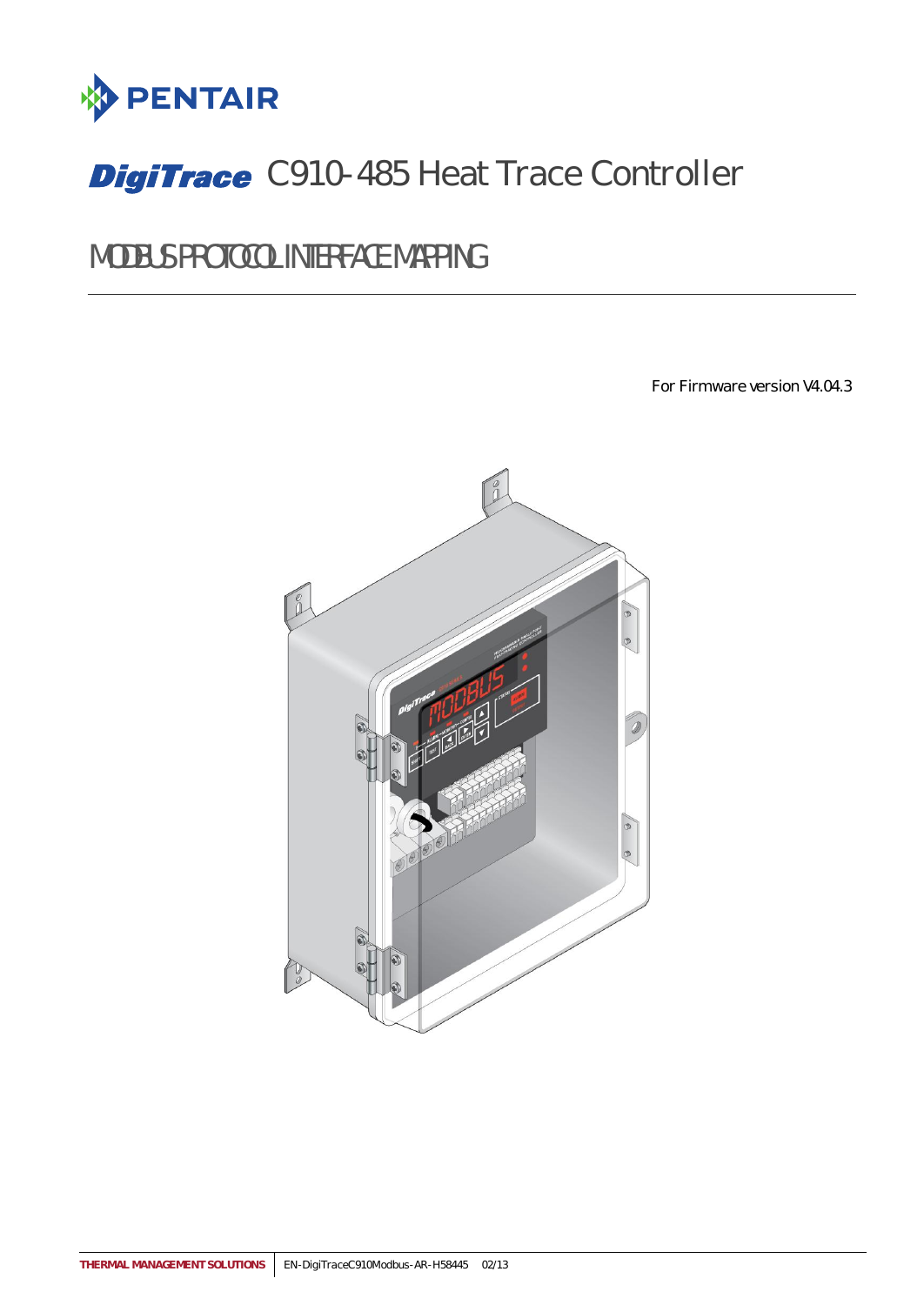

# **DigiTrace** C910-485 Heat Trace Controller

MODBUS PROTOCOL INTERFACE MAPPING

For Firmware version V4.04.3

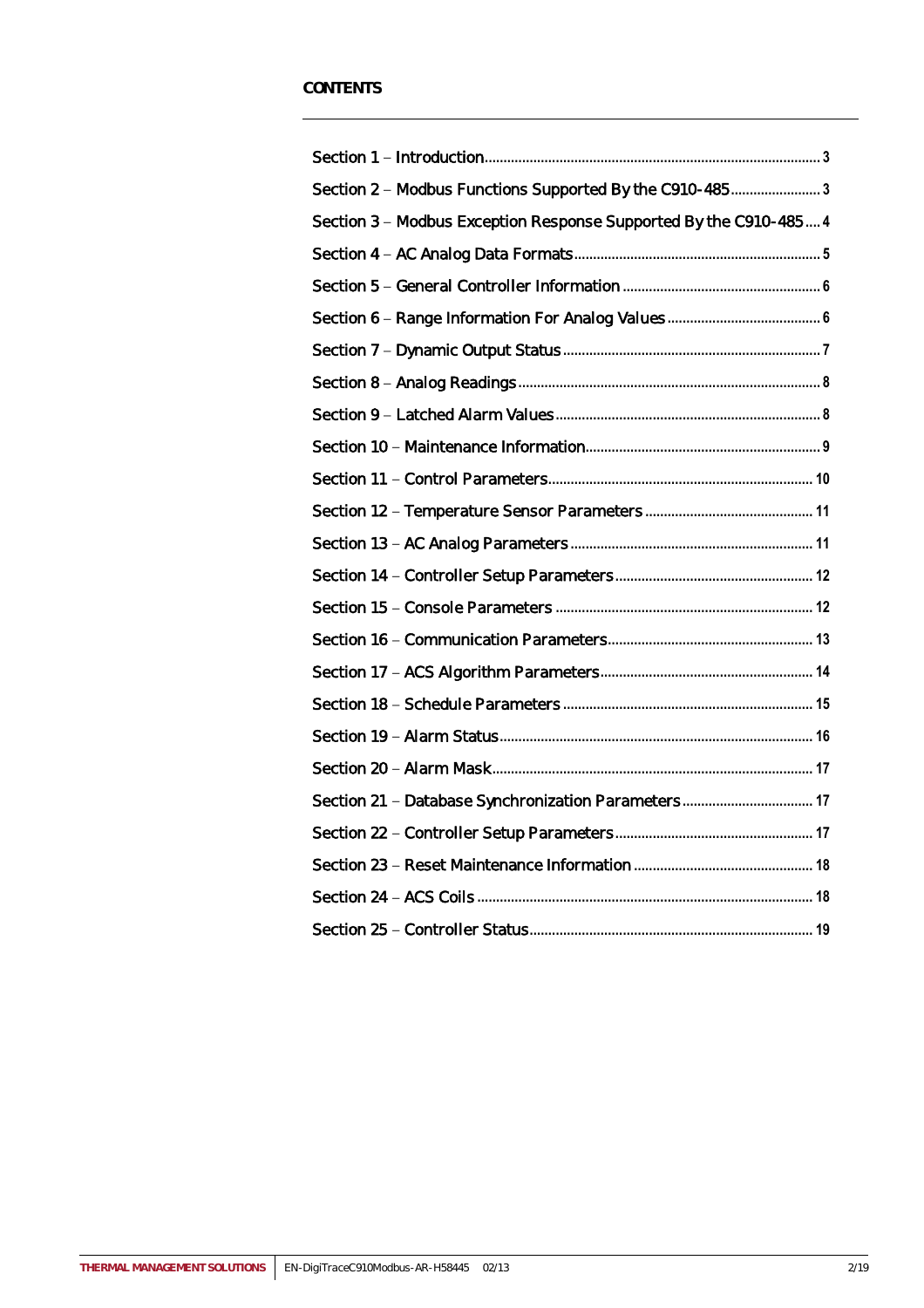| Section 2 - Modbus Functions Supported By the C910-4853           |  |
|-------------------------------------------------------------------|--|
| Section 3 - Modbus Exception Response Supported By the C910-485 4 |  |
|                                                                   |  |
|                                                                   |  |
|                                                                   |  |
|                                                                   |  |
|                                                                   |  |
|                                                                   |  |
|                                                                   |  |
|                                                                   |  |
|                                                                   |  |
|                                                                   |  |
|                                                                   |  |
|                                                                   |  |
|                                                                   |  |
|                                                                   |  |
|                                                                   |  |
|                                                                   |  |
|                                                                   |  |
| Section 21 - Database Synchronization Parameters 17               |  |
|                                                                   |  |
|                                                                   |  |
|                                                                   |  |
|                                                                   |  |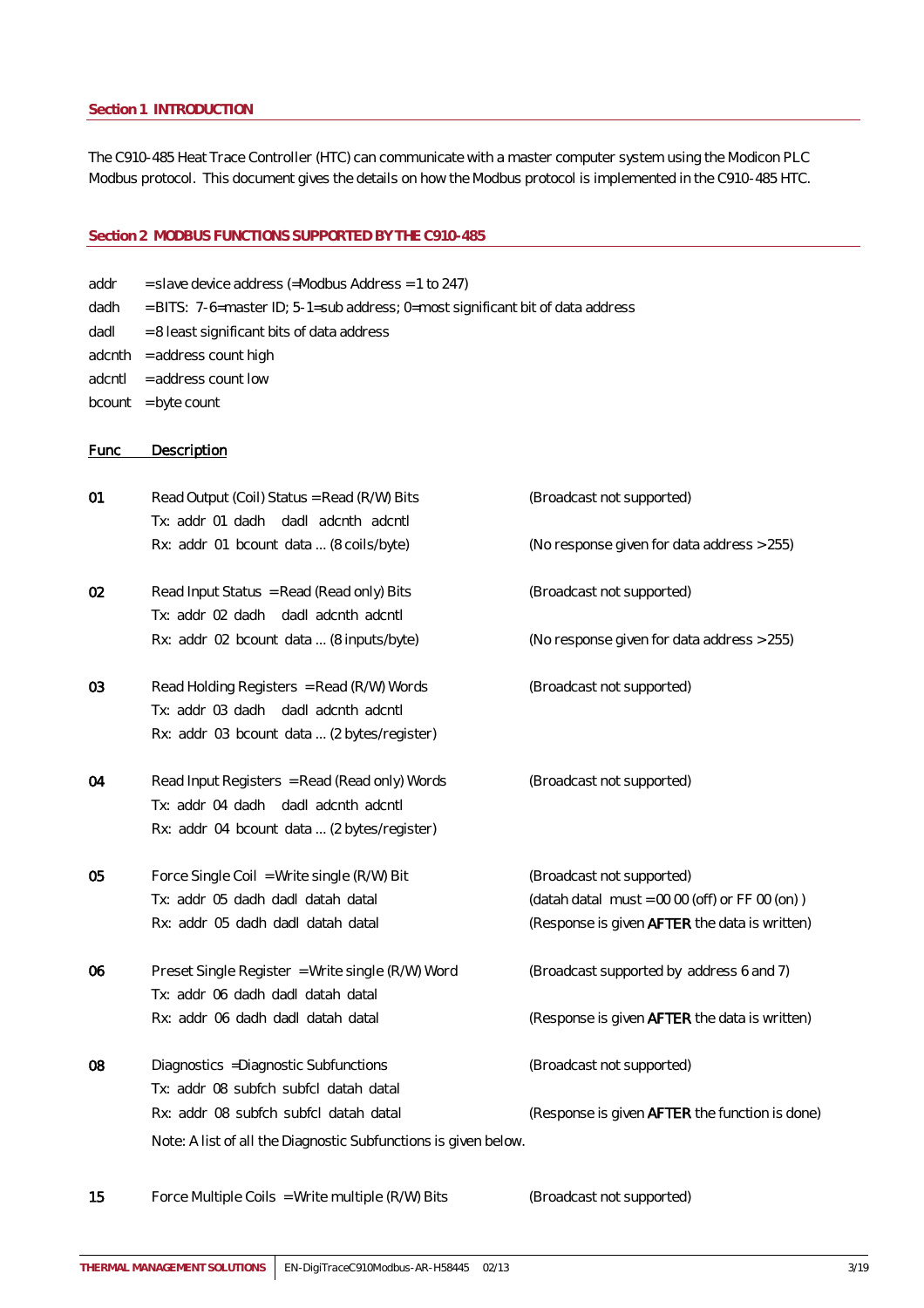#### <span id="page-2-0"></span>**Section 1 INTRODUCTION**

The C910-485 Heat Trace Controller (HTC) can communicate with a master computer system using the Modicon PLC Modbus protocol. This document gives the details on how the Modbus protocol is implemented in the C910-485 HTC.

#### <span id="page-2-1"></span>**Section 2 MODBUS FUNCTIONS SUPPORTED BY THE C910-485**

| addr | $=$ slave device address (=Modbus Address = 1 to 247)                          |
|------|--------------------------------------------------------------------------------|
| dadh | = BITS: 7-6=master ID; 5-1=sub address; 0=most significant bit of data address |

- dadl  $= 8$  least significant bits of data address
- $adenth = address count high$
- $adcntI = address count low$
- $bcount = byte count$

### Func Description

| 01 | Read Output (Coil) Status = Read (R/W) Bits<br>Tx: addr 01 dadh dadl adcnth adcntl                                                  | (Broadcast not supported)                                                                                                     |
|----|-------------------------------------------------------------------------------------------------------------------------------------|-------------------------------------------------------------------------------------------------------------------------------|
|    | Rx: addr 01 bcount data  (8 coils/byte)                                                                                             | (No response given for data address > 255)                                                                                    |
| 02 | Read Input Status = Read (Read only) Bits                                                                                           | (Broadcast not supported)                                                                                                     |
|    | Tx: addr 02 dadh dadl adcnth adcntl<br>Rx: addr 02 bcount data  (8 inputs/byte)                                                     | (No response given for data address > 255)                                                                                    |
| 03 | Read Holding Registers = Read (R/W) Words<br>Tx: addr 03 dadh dadl adcnth adcntl<br>Rx: addr 03 bcount data  (2 bytes/register)     | (Broadcast not supported)                                                                                                     |
| 04 | Read Input Registers = Read (Read only) Words<br>Tx: addr 04 dadh dadl adcnth adcntl<br>Rx: addr 04 bcount data  (2 bytes/register) | (Broadcast not supported)                                                                                                     |
| 05 | Force Single Coil = Write single (R/W) Bit<br>Tx: addr 05 dadh dadl datah datal<br>Rx: addr 05 dadh dadl datah datal                | (Broadcast not supported)<br>(datah datal must = $0000$ (off) or FF 00 (on))<br>(Response is given AFTER the data is written) |
| 06 | Preset Single Register = Write single (R/W) Word<br>Tx: addr 06 dadh dadl datah datal                                               | (Broadcast supported by address 6 and 7)                                                                                      |
|    | Rx: addr 06 dadh dadl datah datal                                                                                                   | (Response is given AFTER the data is written)                                                                                 |
| 08 | Diagnostics = Diagnostic Subfunctions<br>Tx: addr 08 subfch subfcl datah datal                                                      | (Broadcast not supported)                                                                                                     |
|    | Rx: addr 08 subfch subfcl datah datal<br>Note: A list of all the Diagnostic Subfunctions is given below.                            | (Response is given AFTER the function is done)                                                                                |
|    |                                                                                                                                     |                                                                                                                               |

15 Force Multiple Coils = Write multiple (R/W) Bits (Broadcast not supported)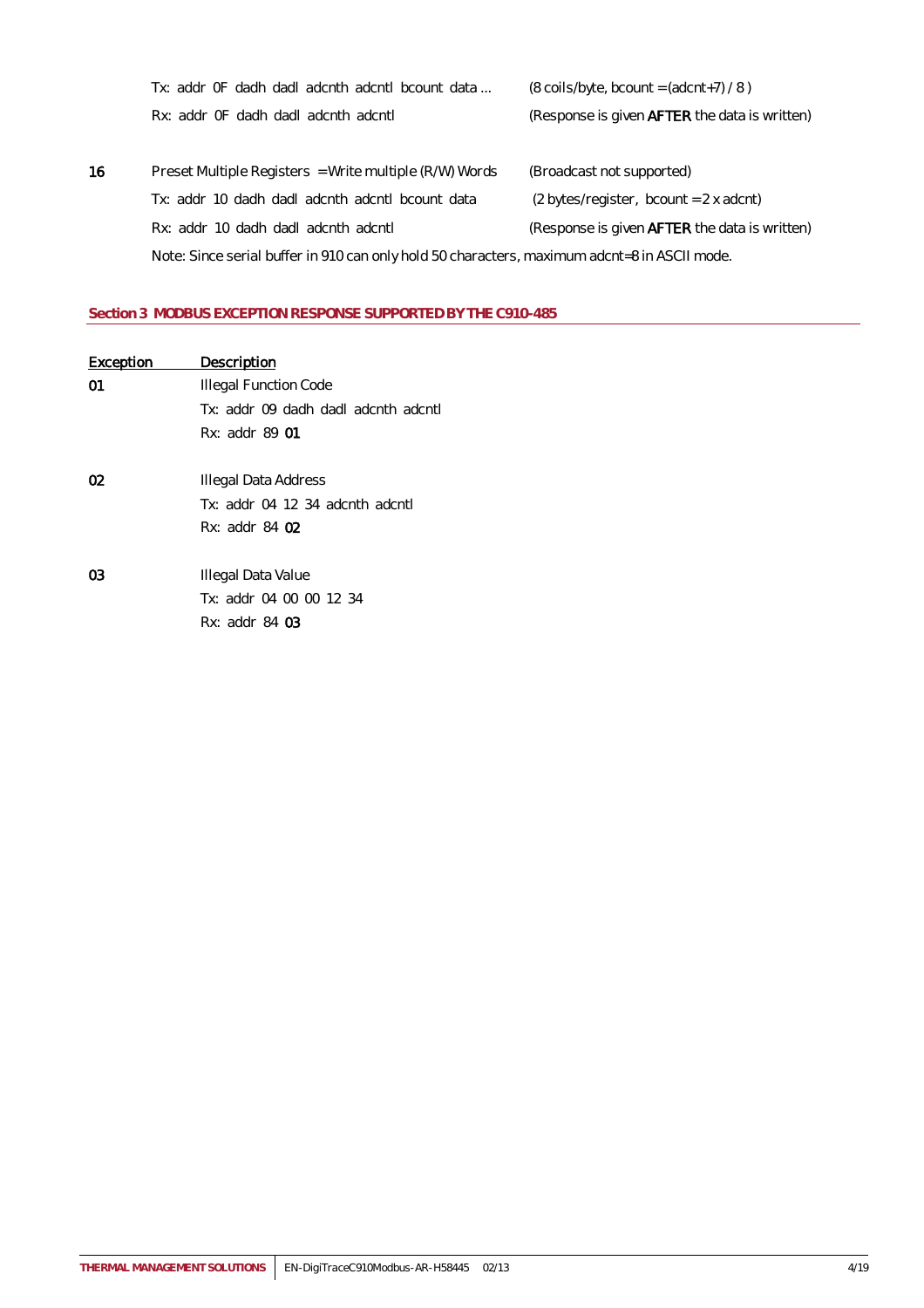|    | Tx: addr OF dadh dadl adcnth adcntl bcount data                                              | $(8 \text{ coils/byte}, \text{bcount} = (\text{adcnt} + 7) / 8)$ |
|----|----------------------------------------------------------------------------------------------|------------------------------------------------------------------|
|    | Rx: addr OF dadh dadl adcnth adcntl                                                          | (Response is given <b>AFTER</b> the data is written)             |
|    |                                                                                              |                                                                  |
| 16 | Preset Multiple Registers = Write multiple (R/W) Words                                       | (Broadcast not supported)                                        |
|    | Tx: addr 10 dadh dadl adcnth adcntl bcount data                                              | $(2 bytes/register, bound = 2 x adcnt)$                          |
|    | Rx: addr 10 dadh dadl adcnth adcntl                                                          | (Response is given <b>AFTER</b> the data is written)             |
|    | Note: Since serial buffer in 910 can only hold 50 characters, maximum adcnt=8 in ASCII mode. |                                                                  |

## <span id="page-3-0"></span>**Section 3 MODBUS EXCEPTION RESPONSE SUPPORTED BY THE C910-485**

| <b>Exception</b> | Description                         |
|------------------|-------------------------------------|
| 01               | Illegal Function Code               |
|                  | Tx: addr 09 dadh dadl adcnth adcntl |
|                  | Rx: addr 89 01                      |
|                  |                                     |
| 02               | Illegal Data Address                |
|                  | $Tx: addr$ 04 12 34 adcnth adcntl   |
|                  | Rx: addr 84 02                      |
|                  |                                     |
| 03               | Illegal Data Value                  |
|                  | Tx: addr 04 00 00 12 34             |
|                  | Rx: addr 84 03                      |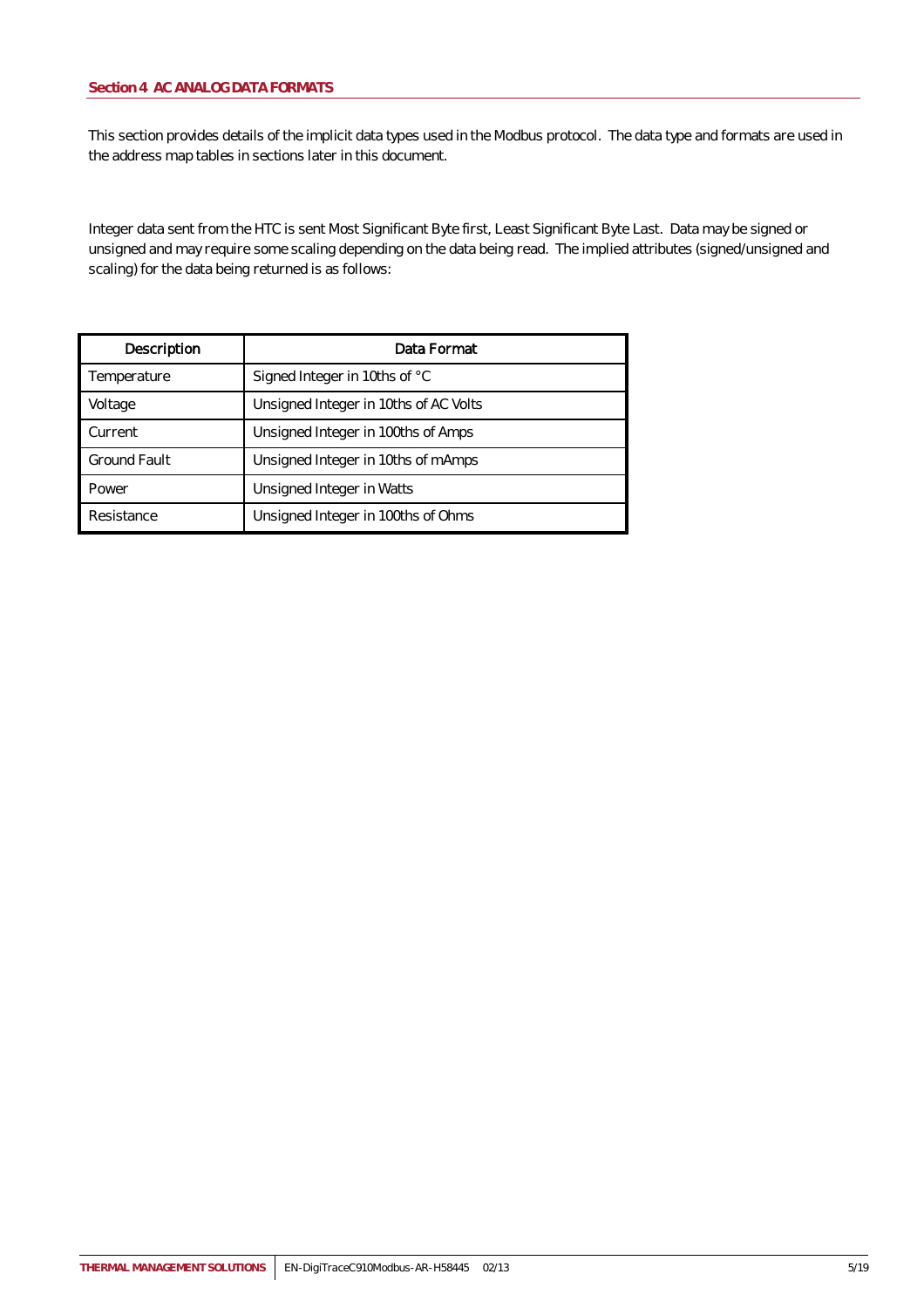<span id="page-4-0"></span>This section provides details of the implicit data types used in the Modbus protocol. The data type and formats are used in the address map tables in sections later in this document.

Integer data sent from the HTC is sent Most Significant Byte first, Least Significant Byte Last. Data may be signed or unsigned and may require some scaling depending on the data being read. The implied attributes (signed/unsigned and scaling) for the data being returned is as follows:

| Description         | Data Format                           |
|---------------------|---------------------------------------|
| Temperature         | Signed Integer in 10ths of °C         |
| Voltage             | Unsigned Integer in 10ths of AC Volts |
| Current             | Unsigned Integer in 100ths of Amps    |
| <b>Ground Fault</b> | Unsigned Integer in 10ths of mAmps    |
| Power               | Unsigned Integer in Watts             |
| Resistance          | Unsigned Integer in 100ths of Ohms    |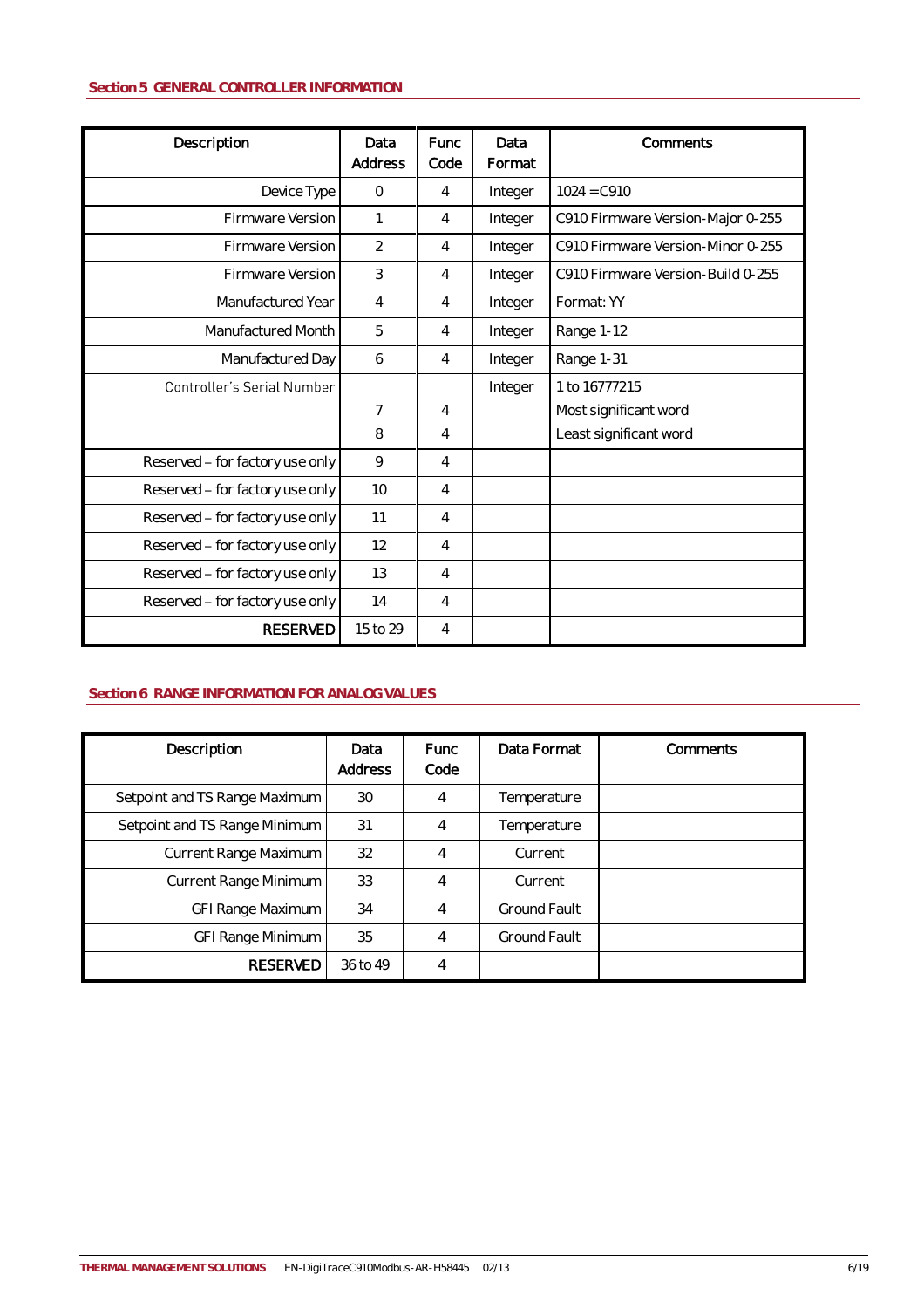## <span id="page-5-0"></span>**Section 5 GENERAL CONTROLLER INFORMATION**

| Description                     | Data<br>Address | Func<br>Code | Data<br>Format | Comments                          |
|---------------------------------|-----------------|--------------|----------------|-----------------------------------|
| Device Type                     | $\Omega$        | 4            | Integer        | $1024 = C910$                     |
| Firmware Version                |                 | 4            | Integer        | C910 Firmware Version-Major 0-255 |
| Firmware Version                | $\overline{2}$  | 4            | Integer        | C910 Firmware Version-Minor 0-255 |
| Firmware Version                | 3               | 4            | Integer        | C910 Firmware Version-Build 0-255 |
| Manufactured Year               | $\overline{4}$  | 4            | Integer        | Format: YY                        |
| Manufactured Month              | 5               | 4            | Integer        | Range 1-12                        |
| Manufactured Day                | 6               | 4            | Integer        | Range 1-31                        |
| Controller's Serial Number      |                 |              | Integer        | 1 to 16777215                     |
|                                 | $\overline{7}$  | 4            |                | Most significant word             |
|                                 | 8               | 4            |                | Least significant word            |
| Reserved - for factory use only | 9               | 4            |                |                                   |
| Reserved - for factory use only | 10              | 4            |                |                                   |
| Reserved - for factory use only | 11              | 4            |                |                                   |
| Reserved - for factory use only | 12              | 4            |                |                                   |
| Reserved - for factory use only | 13              | 4            |                |                                   |
| Reserved - for factory use only | 14              | 4            |                |                                   |
| <b>RESERVED</b>                 | 15 to 29        | 4            |                |                                   |

## <span id="page-5-1"></span>**Section 6 RANGE INFORMATION FOR ANALOG VALUES**

| Description                   | Data<br><b>Address</b> | <b>Func</b><br>Code | Data Format         | Comments |
|-------------------------------|------------------------|---------------------|---------------------|----------|
| Setpoint and TS Range Maximum | 30                     | 4                   | Temperature         |          |
| Setpoint and TS Range Minimum | 31                     | 4                   | Temperature         |          |
| Current Range Maximum         | 32                     | 4                   | Current             |          |
| Current Range Minimum         | 33                     | $\overline{4}$      | Current             |          |
| GFI Range Maximum             | 34                     | 4                   | <b>Ground Fault</b> |          |
| <b>GFI Range Minimum</b>      | 35                     | 4                   | <b>Ground Fault</b> |          |
| <b>RESERVED</b>               | 36 to 49               | 4                   |                     |          |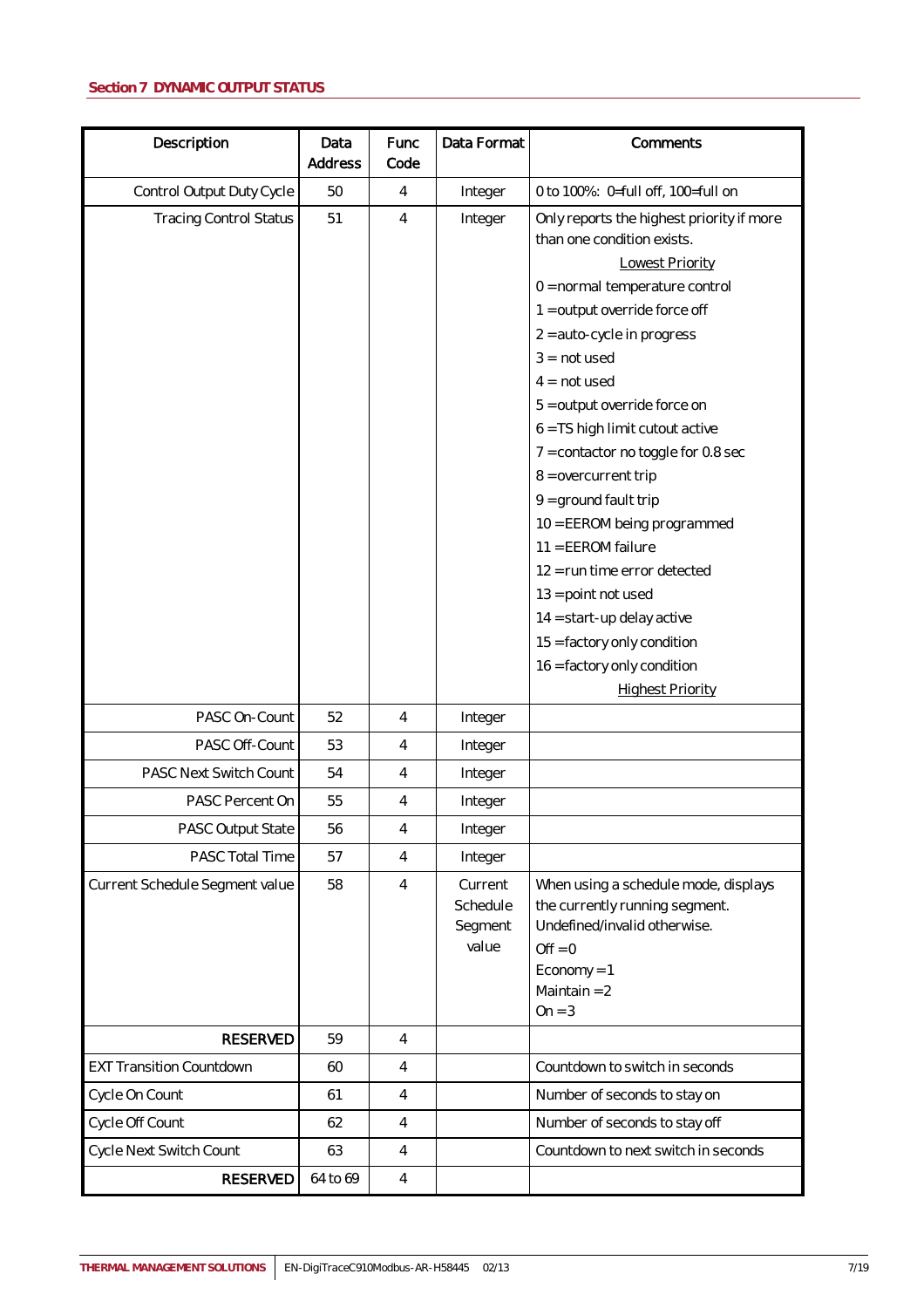<span id="page-6-0"></span>

| Description                     | Data<br>Address | Func<br>Code   | Data Format                             | Comments                                                                                                                                                                                                                                                                                                                                                                                                                                                                                                                                                                                                                 |
|---------------------------------|-----------------|----------------|-----------------------------------------|--------------------------------------------------------------------------------------------------------------------------------------------------------------------------------------------------------------------------------------------------------------------------------------------------------------------------------------------------------------------------------------------------------------------------------------------------------------------------------------------------------------------------------------------------------------------------------------------------------------------------|
| Control Output Duty Cycle       | 50              | 4              | Integer                                 | 0 to 100%: 0=full off, 100=full on                                                                                                                                                                                                                                                                                                                                                                                                                                                                                                                                                                                       |
| <b>Tracing Control Status</b>   | 51              | 4              | Integer                                 | Only reports the highest priority if more<br>than one condition exists.<br><b>Lowest Priority</b><br>0 = normal temperature control<br>$1 =$ output override force off<br>2 = auto-cycle in progress<br>$3 = not used$<br>$4 = not used$<br>5 = output override force on<br>6 = TS high limit cutout active<br>$7 = \text{contact}$ or toggle for 0.8 sec<br>$8 =$ overcurrent trip<br>$9 =$ ground fault trip<br>10 = EEROM being programmed<br>11 = EEROM failure<br>12 = run time error detected<br>$13$ = point not used<br>14 = start-up delay active<br>15 = factory only condition<br>16 = factory only condition |
|                                 |                 |                |                                         | <b>Highest Priority</b>                                                                                                                                                                                                                                                                                                                                                                                                                                                                                                                                                                                                  |
| PASC On-Count                   | 52              | $\overline{4}$ | Integer                                 |                                                                                                                                                                                                                                                                                                                                                                                                                                                                                                                                                                                                                          |
| PASC Off-Count                  | 53              | 4              | Integer                                 |                                                                                                                                                                                                                                                                                                                                                                                                                                                                                                                                                                                                                          |
| PASC Next Switch Count          | 54              | 4              | Integer                                 |                                                                                                                                                                                                                                                                                                                                                                                                                                                                                                                                                                                                                          |
| PASC Percent On                 | 55              | 4              | Integer                                 |                                                                                                                                                                                                                                                                                                                                                                                                                                                                                                                                                                                                                          |
| PASC Output State               | 56              | 4              | Integer                                 |                                                                                                                                                                                                                                                                                                                                                                                                                                                                                                                                                                                                                          |
| PASC Total Time                 | 57              | 4              | Integer                                 |                                                                                                                                                                                                                                                                                                                                                                                                                                                                                                                                                                                                                          |
| Current Schedule Segment value  | 58              | $\overline{4}$ | Current<br>Schedule<br>Segment<br>value | When using a schedule mode, displays<br>the currently running segment.<br>Undefined/invalid otherwise.<br>$Off = 0$<br>$E_{\text{conomy}} = 1$<br>Maintain $= 2$<br>$On = 3$                                                                                                                                                                                                                                                                                                                                                                                                                                             |
| <b>RESERVED</b>                 | 59              | $\overline{4}$ |                                         |                                                                                                                                                                                                                                                                                                                                                                                                                                                                                                                                                                                                                          |
| <b>EXT Transition Countdown</b> | 60              | $\overline{4}$ |                                         | Countdown to switch in seconds                                                                                                                                                                                                                                                                                                                                                                                                                                                                                                                                                                                           |
| Cycle On Count                  | 61              | $\overline{4}$ |                                         | Number of seconds to stay on                                                                                                                                                                                                                                                                                                                                                                                                                                                                                                                                                                                             |
| Cycle Off Count                 | 62              | $\overline{4}$ |                                         | Number of seconds to stay off                                                                                                                                                                                                                                                                                                                                                                                                                                                                                                                                                                                            |
| Cycle Next Switch Count         | 63              | $\overline{4}$ |                                         | Countdown to next switch in seconds                                                                                                                                                                                                                                                                                                                                                                                                                                                                                                                                                                                      |
| <b>RESERVED</b>                 | 64 to 69        | $\overline{4}$ |                                         |                                                                                                                                                                                                                                                                                                                                                                                                                                                                                                                                                                                                                          |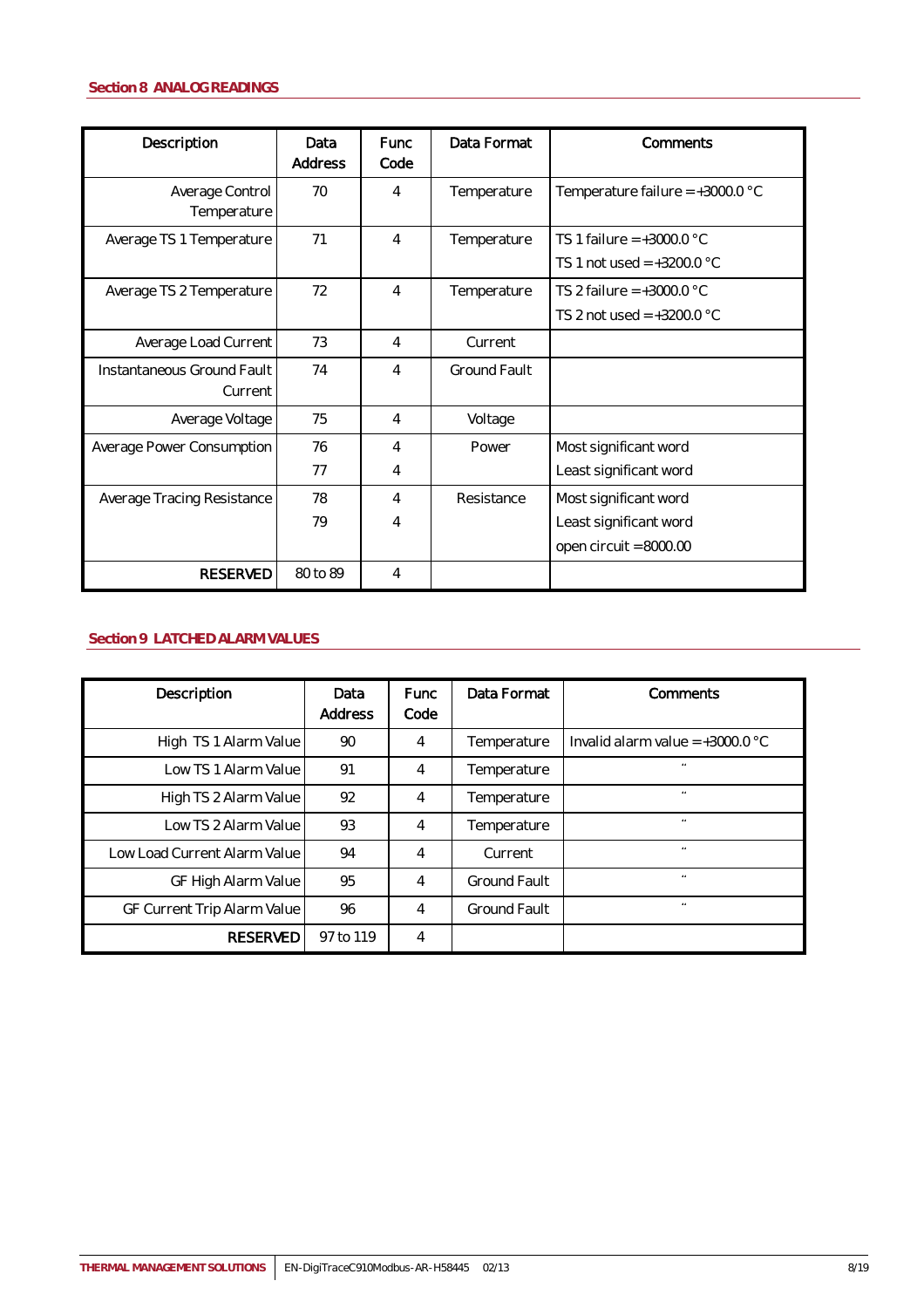<span id="page-7-0"></span>

| Description                           | Data<br>Address | Func<br>Code | Data Format  | Comments                                                                    |
|---------------------------------------|-----------------|--------------|--------------|-----------------------------------------------------------------------------|
| Average Control<br>Temperature        | 70              | 4            | Temperature  | Temperature failure = $+3000.0$ °C                                          |
| Average TS 1 Temperature              | 71              | 4            | Temperature  | TS 1 failure = $+3000.0$ °C<br>TS 1 not used = $+3200.0$ °C                 |
| Average TS 2 Temperature              | 72              | 4            | Temperature  | TS 2 failure = $+3000.0$ °C<br>TS 2 not used = $+3200.0$ °C                 |
| Average Load Current                  | 73              | 4            | Current      |                                                                             |
| Instantaneous Ground Fault<br>Current | 74              | 4            | Ground Fault |                                                                             |
| Average Voltage                       | 75              | 4            | Voltage      |                                                                             |
| Average Power Consumption             | 76<br>77        | 4<br>4       | Power        | Most significant word<br>Least significant word                             |
| Average Tracing Resistance            | 78<br>79        | 4<br>4       | Resistance   | Most significant word<br>Least significant word<br>open circuit = $8000.00$ |
| <b>RESERVED</b>                       | 80 to 89        | 4            |              |                                                                             |

## <span id="page-7-1"></span>**Section 9 LATCHED ALARM VALUES**

| Description                  | Data<br><b>Address</b> | <b>Func</b><br>Code | Data Format         | Comments                           |
|------------------------------|------------------------|---------------------|---------------------|------------------------------------|
| High TS 1 Alarm Value        | 90                     | 4                   | Temperature         | Invalid alarm value = $+3000.0$ °C |
| Low TS 1 Alarm Value         | 91                     | 4                   | Temperature         | $\overline{a}$                     |
| High TS 2 Alarm Value        | 92                     | 4                   | Temperature         | $\overline{a}$                     |
| Low TS 2 Alarm Value         | 93                     | 4                   | Temperature         | $\overline{a}$                     |
| Low Load Current Alarm Value | 94                     |                     | Current             | $\overline{a}$                     |
| GF High Alarm Value          | 95                     | 4                   | <b>Ground Fault</b> | $\bullet$                          |
| GF Current Trip Alarm Value  | 96                     | 4                   | <b>Ground Fault</b> | $\bullet$                          |
| <b>RESERVED</b>              | 97 to 119              | 4                   |                     |                                    |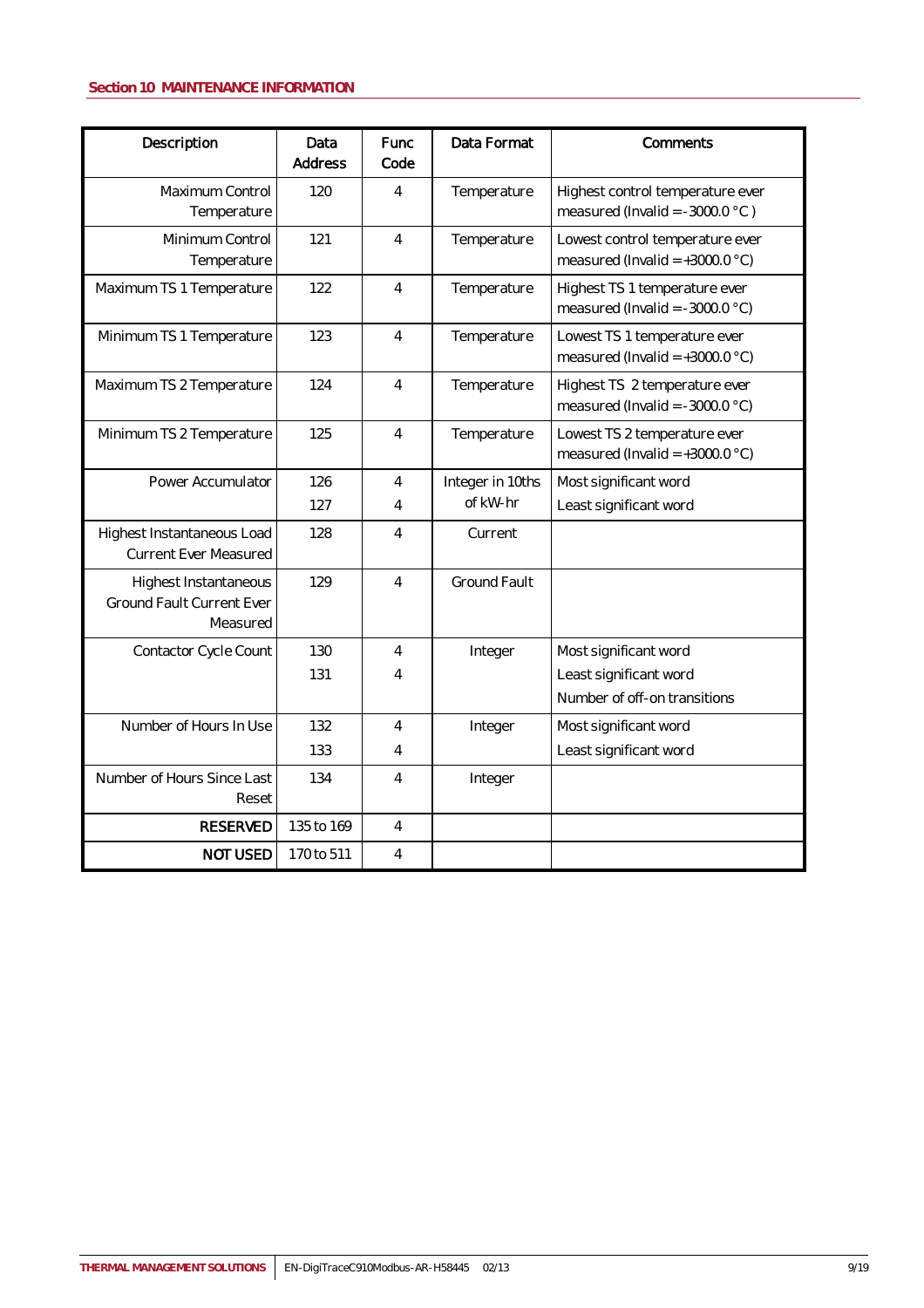## <span id="page-8-0"></span>**Section 10 MAINTENANCE INFORMATION**

| Description                                                           | Data<br><b>Address</b> | <b>Func</b><br>Code | Data Format         | Comments                                                              |
|-----------------------------------------------------------------------|------------------------|---------------------|---------------------|-----------------------------------------------------------------------|
| Maximum Control<br>Temperature                                        | 120                    | 4                   | Temperature         | Highest control temperature ever<br>measured (Invalid = $-3000.0$ °C) |
| Minimum Control<br>Temperature                                        | 121                    | $\overline{4}$      | Temperature         | Lowest control temperature ever<br>measured (Invalid = $+3000.0$ °C)  |
| Maximum TS 1 Temperature                                              | 122                    | 4                   | Temperature         | Highest TS 1 temperature ever<br>measured (Invalid = $-3000.0$ °C)    |
| Minimum TS 1 Temperature                                              | 123                    | 4                   | Temperature         | Lowest TS 1 temperature ever<br>measured (Invalid = $+3000.0$ °C)     |
| Maximum TS 2 Temperature                                              | 124                    | 4                   | Temperature         | Highest TS 2 temperature ever<br>measured (Invalid = $-3000.0$ °C)    |
| Minimum TS 2 Temperature                                              | 125                    | $\overline{4}$      | Temperature         | Lowest TS 2 temperature ever<br>measured (Invalid = $+3000.0$ °C)     |
| Power Accumulator                                                     | 126                    | $\overline{4}$      | Integer in 10ths    | Most significant word                                                 |
|                                                                       | 127                    | 4                   | of kW-hr            | Least significant word                                                |
| Highest Instantaneous Load<br><b>Current Ever Measured</b>            | 128                    | 4                   | Current             |                                                                       |
| Highest Instantaneous<br><b>Ground Fault Current Ever</b><br>Measured | 129                    | 4                   | <b>Ground Fault</b> |                                                                       |
| Contactor Cycle Count                                                 | 130                    | $\overline{4}$      | Integer             | Most significant word                                                 |
|                                                                       | 131                    | 4                   |                     | Least significant word                                                |
|                                                                       |                        |                     |                     | Number of off-on transitions                                          |
| Number of Hours In Use                                                | 132                    | $\overline{4}$      | Integer             | Most significant word                                                 |
|                                                                       | 133                    | 4                   |                     | Least significant word                                                |
| Number of Hours Since Last<br>Reset                                   | 134                    | 4                   | Integer             |                                                                       |
| <b>RESERVED</b>                                                       | 135 to 169             | 4                   |                     |                                                                       |
| <b>NOT USED</b>                                                       | 170 to 511             | 4                   |                     |                                                                       |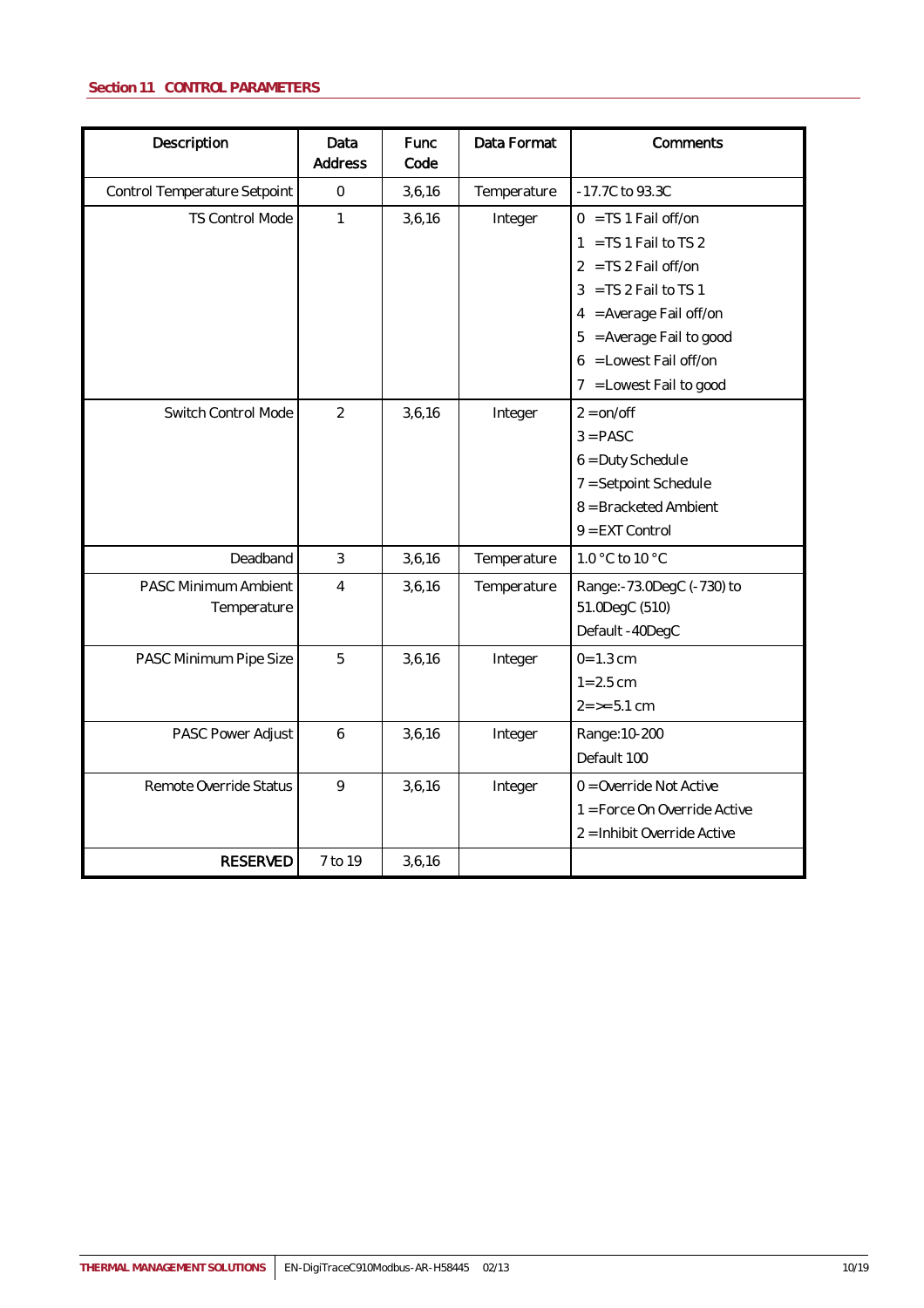## <span id="page-9-0"></span>**Section 11 CONTROL PARAMETERS**

| Description                         | Data<br>Address | Func<br>Code | Data Format | Comments                                                                                                                                                                                                               |
|-------------------------------------|-----------------|--------------|-------------|------------------------------------------------------------------------------------------------------------------------------------------------------------------------------------------------------------------------|
| Control Temperature Setpoint        | $\mathbf{0}$    | 3,6,16       | Temperature | -17.7C to 93.3C                                                                                                                                                                                                        |
| TS Control Mode                     | 1               | 3,6,16       | Integer     | $0 = TS 1$ Fail off/on<br>$1 = TS 1$ Fail to TS 2<br>$2 = TS 2$ Fail off/on<br>$3 = TS 2$ Fail to TS 1<br>4 = Average Fail off/on<br>$5 = Average$ Fail to good<br>$6 =$ Lowest Fail off/on<br>7 = Lowest Fail to good |
| Switch Control Mode                 | $\overline{2}$  | 3,6,16       | Integer     | $2 = \frac{on}{off}$<br>$3 = PASC$<br>6 = Duty Schedule<br>7 = Setpoint Schedule<br>8 = Bracketed Ambient<br>$9 = EXT$ Control                                                                                         |
| Deadband                            | $\mathfrak{Z}$  | 3,6,16       | Temperature | 1.0 °C to 10 °C                                                                                                                                                                                                        |
| PASC Minimum Ambient<br>Temperature | $\overline{4}$  | 3,6,16       | Temperature | Range:-73.0DegC (-730) to<br>51.0DegC (510)<br>Default -40DegC                                                                                                                                                         |
| PASC Minimum Pipe Size              | 5               | 3,6,16       | Integer     | $0 = 1.3$ cm<br>$1 = 2.5$ cm<br>$2 = 5.1$ cm                                                                                                                                                                           |
| PASC Power Adjust                   | 6               | 3,6,16       | Integer     | Range: 10-200<br>Default 100                                                                                                                                                                                           |
| Remote Override Status              | 9               | 3,6,16       | Integer     | $0 =$ Override Not Active<br>1 = Force On Override Active<br>2 = Inhibit Override Active                                                                                                                               |
| <b>RESERVED</b>                     | 7 to 19         | 3,6,16       |             |                                                                                                                                                                                                                        |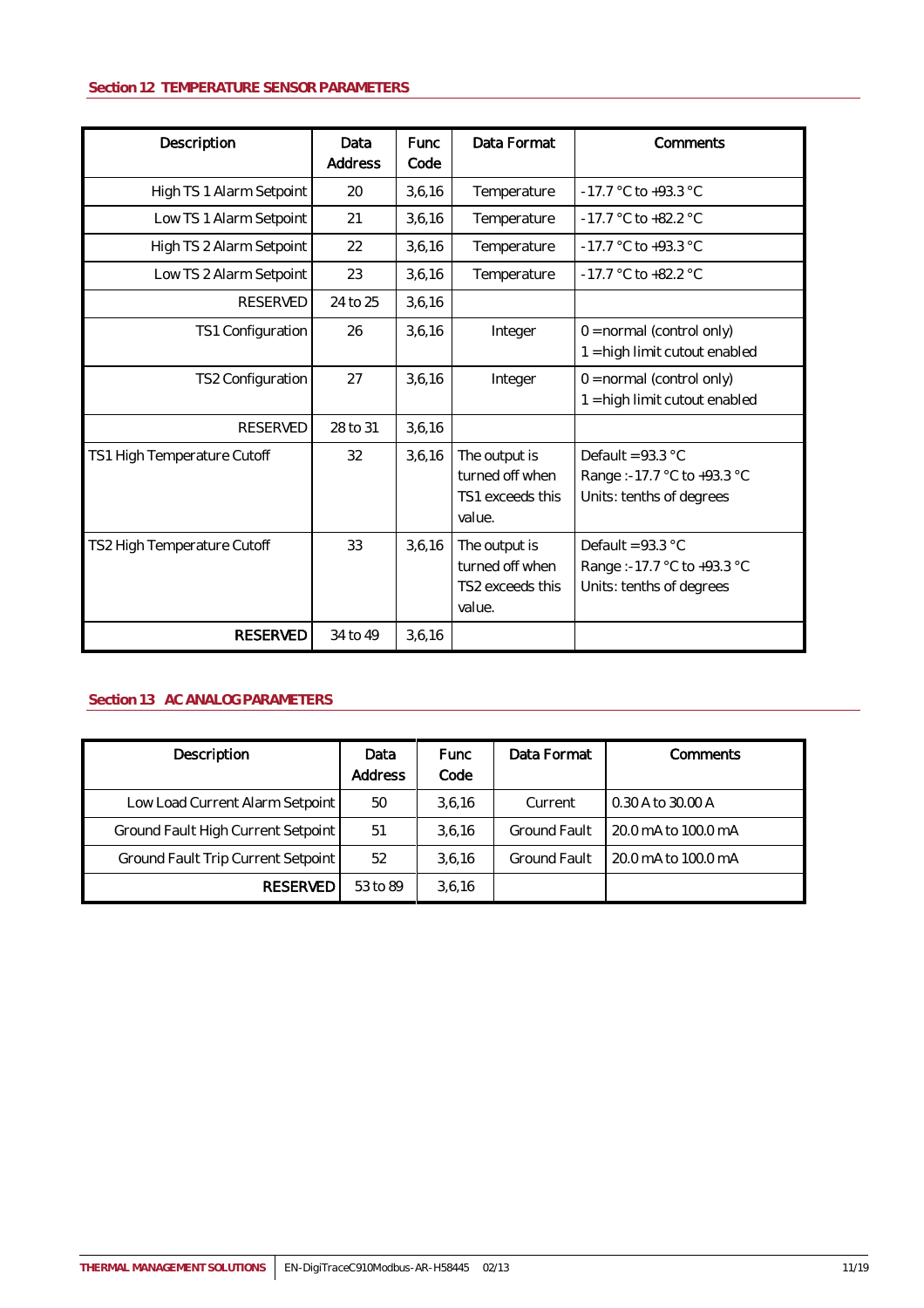## <span id="page-10-0"></span>**Section 12 TEMPERATURE SENSOR PARAMETERS**

| Description                 | Data<br>Address | <b>Func</b><br>Code | Data Format                                                    | Comments                                                                      |
|-----------------------------|-----------------|---------------------|----------------------------------------------------------------|-------------------------------------------------------------------------------|
| High TS 1 Alarm Setpoint    | 20              | 3,6,16              | Temperature                                                    | -17.7 °C to +93.3 °C                                                          |
| Low TS 1 Alarm Setpoint     | 21              | 3,6,16              | Temperature                                                    | $-17.7$ °C to $+82.2$ °C                                                      |
| High TS 2 Alarm Setpoint    | 22              | 3,6,16              | Temperature                                                    | -17.7 °C to +93.3 °C                                                          |
| Low TS 2 Alarm Setpoint     | 23              | 3,6,16              | Temperature                                                    | $-17.7$ °C to $+82.2$ °C                                                      |
| <b>RESERVED</b>             | 24 to 25        | 3,6,16              |                                                                |                                                                               |
| TS1 Configuration           | 26              | 3,6,16              | Integer                                                        | $0 = normal (control only)$<br>1 = high limit cutout enabled                  |
| TS2 Configuration           | 27              | 3,6,16              | Integer                                                        | $0 = normal (control only)$<br>1 = high limit cutout enabled                  |
| <b>RESERVED</b>             | 28 to 31        | 3,6,16              |                                                                |                                                                               |
| TS1 High Temperature Cutoff | 32              | 3,6,16              | The output is<br>turned off when<br>TS1 exceeds this<br>value. | Default = $93.3$ °C<br>Range:-17.7 °C to +93.3 °C<br>Units: tenths of degrees |
| TS2 High Temperature Cutoff | 33              | 3,6,16              | The output is<br>turned off when<br>TS2 exceeds this<br>value. | Default = $93.3$ °C<br>Range:-17.7 °C to +93.3 °C<br>Units: tenths of degrees |
| <b>RESERVED</b>             | 34 to 49        | 3,6,16              |                                                                |                                                                               |

## <span id="page-10-1"></span>**Section 13 AC ANALOG PARAMETERS**

| Description                        | Data<br>Address | <b>Func</b><br>Code | Data Format         | Comments            |
|------------------------------------|-----------------|---------------------|---------------------|---------------------|
| Low Load Current Alarm Setpoint    | 50              | 3.6.16              | Current             | 0.30 A to 30.00 A   |
| Ground Fault High Current Setpoint | 51              | 3,6,16              | <b>Ground Fault</b> | 20.0 mA to 100.0 mA |
| Ground Fault Trip Current Setpoint | 52              | 3,6,16              | <b>Ground Fault</b> | 20.0 mA to 100.0 mA |
| <b>RESERVED</b>                    | 53 to 89        | 3,6,16              |                     |                     |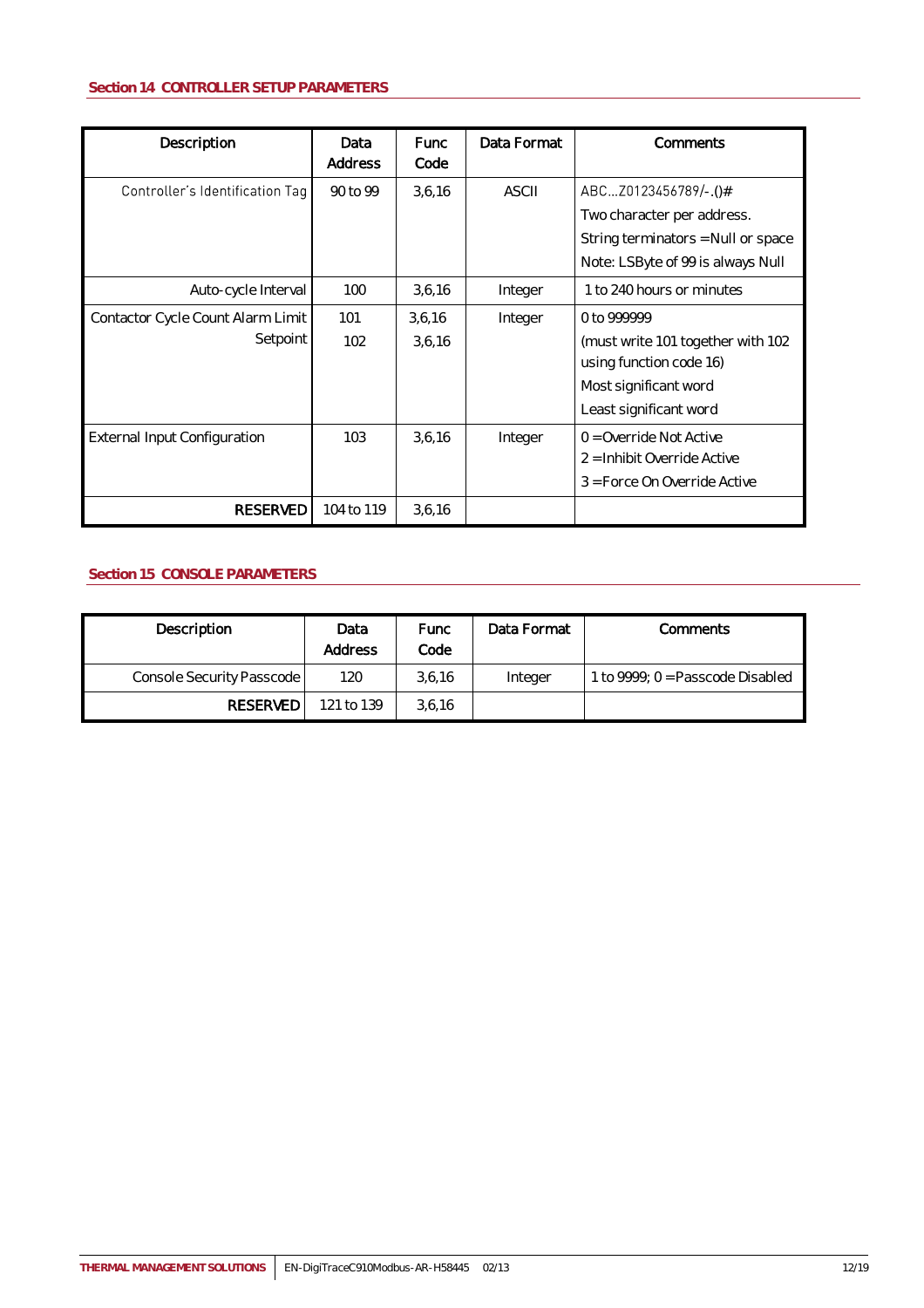<span id="page-11-0"></span>

| Description                                   | Data<br>Address | <b>Func</b><br>Code | Data Format  | Comments                                                                                                                       |
|-----------------------------------------------|-----------------|---------------------|--------------|--------------------------------------------------------------------------------------------------------------------------------|
| Controller's Identification Tag               | 90 to 99        | 3,6,16              | <b>ASCII</b> | ABCZ0123456789/-.()#<br>Two character per address.<br>String terminators = Null or space<br>Note: LSByte of 99 is always Null  |
| Auto-cycle Interval                           | 100             | 3,6,16              | Integer      | 1 to 240 hours or minutes                                                                                                      |
| Contactor Cycle Count Alarm Limit<br>Setpoint | 101<br>102      | 3,6,16<br>3,6,16    | Integer      | 0 to 999999<br>(must write 101 together with 102<br>using function code 16)<br>Most significant word<br>Least significant word |
| <b>External Input Configuration</b>           | 103             | 3,6,16              | Integer      | $0 =$ Override Not Active<br>2 = Inhibit Override Active<br>3 = Force On Override Active                                       |
| <b>RESERVED</b>                               | 104 to 119      | 3,6,16              |              |                                                                                                                                |

## <span id="page-11-1"></span>**Section 15 CONSOLE PARAMETERS**

| Description               | Data<br>Address | <b>Func</b><br>Code | Data Format | Comments                           |
|---------------------------|-----------------|---------------------|-------------|------------------------------------|
| Console Security Passcode | 120             | 3,6,16              | Integer     | 1 to $9999: 0 =$ Passcode Disabled |
| <b>RESERVED</b>           | 121 to 139      | 3.6.16              |             |                                    |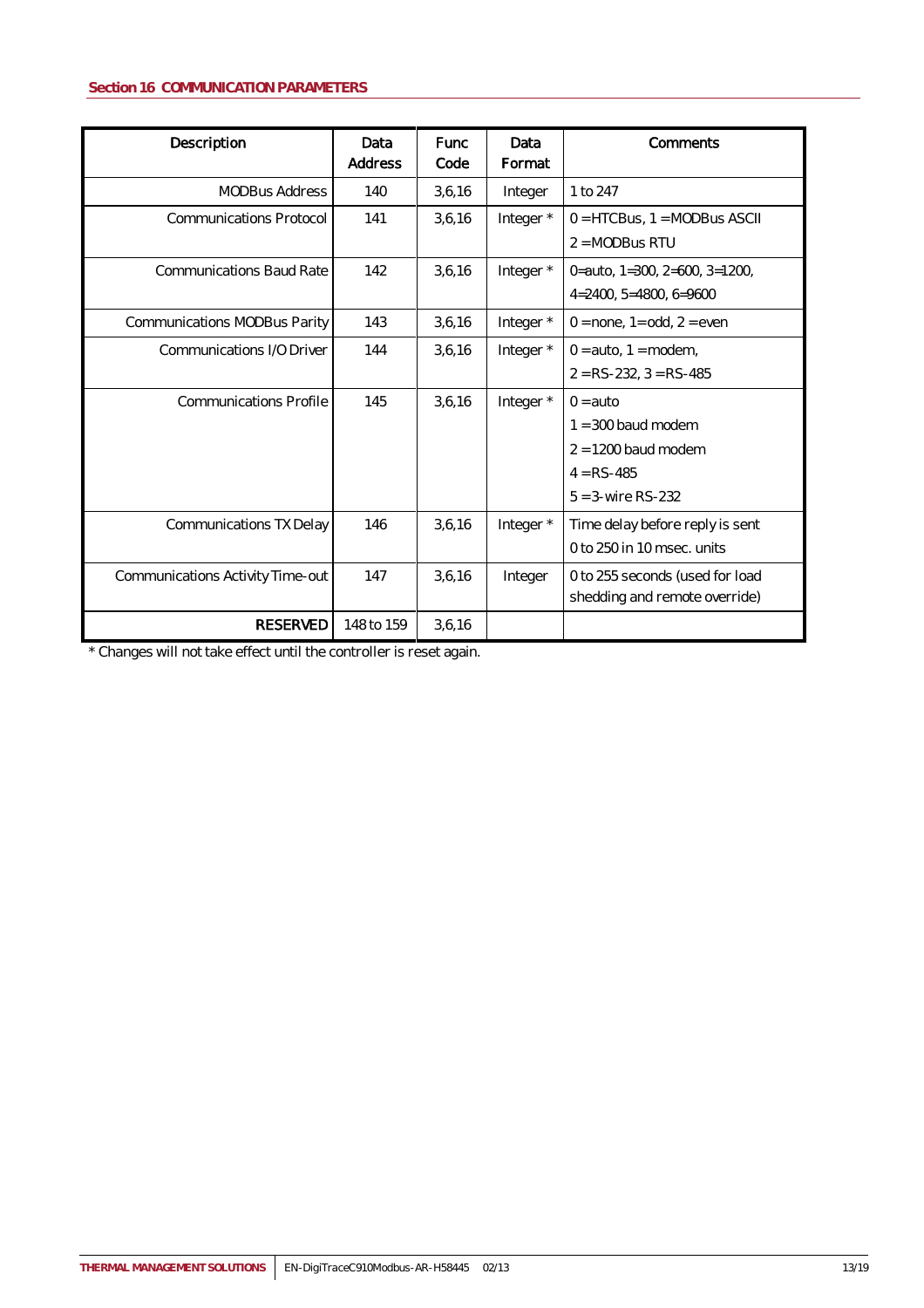## <span id="page-12-0"></span>**Section 16 COMMUNICATION PARAMETERS**

| Description                      | Data<br><b>Address</b> | <b>Func</b><br>Code | Data<br>Format | Comments                                                                                                   |
|----------------------------------|------------------------|---------------------|----------------|------------------------------------------------------------------------------------------------------------|
| <b>MODBus Address</b>            | 140                    | 3,6,16              | Integer        | 1 to 247                                                                                                   |
| Communications Protocol          | 141                    | 3,6,16              | Integer *      | $0 = HTCBus, 1 = MODBus ASCII$<br>$2 = MODBus RTU$                                                         |
| <b>Communications Baud Rate</b>  | 142                    | 3,6,16              | Integer *      | 0=auto, $1=300$ , $2=600$ , $3=1200$ ,<br>$4=2400, 5=4800, 6=9600$                                         |
| Communications MODBus Parity     | 143                    | 3,6,16              | Integer *      | $0 =$ none, 1= odd, 2 = even                                                                               |
| Communications I/O Driver        | 144                    | 3,6,16              | Integer *      | $0 = auto, 1 = modem,$<br>$2 = RS-232$ , $3 = RS-485$                                                      |
| <b>Communications Profile</b>    | 145                    | 3,6,16              | Integer *      | $0 = \text{auto}$<br>$1 = 300$ baud modem<br>$2 = 1200$ baud modem<br>$4 = RS-485$<br>$5 = 3$ -wire RS-232 |
| Communications TX Delay          | 146                    | 3,6,16              | Integer *      | Time delay before reply is sent<br>0 to 250 in 10 msec. units                                              |
| Communications Activity Time-out | 147                    | 3,6,16              | Integer        | 0 to 255 seconds (used for load<br>shedding and remote override)                                           |
| <b>RESERVED</b>                  | 148 to 159             | 3,6,16              |                |                                                                                                            |

\* Changes will not take effect until the controller is reset again.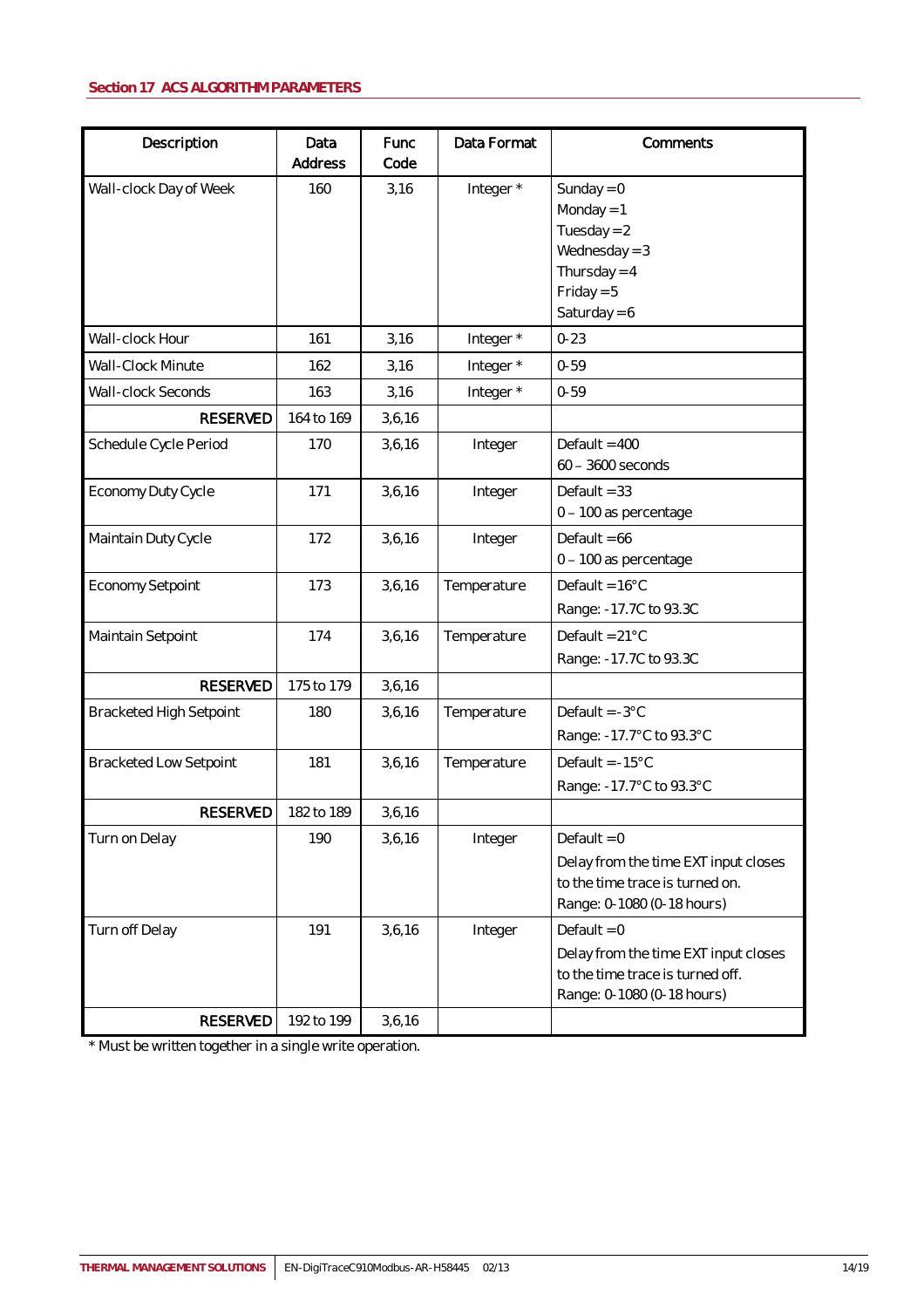<span id="page-13-0"></span>

| Description                       | Data<br>Address   | Func<br>Code | Data Format | Comments                                                                                                                |
|-----------------------------------|-------------------|--------------|-------------|-------------------------------------------------------------------------------------------------------------------------|
| Wall-clock Day of Week            | 160               | 3,16         | Integer *   | Sunday = $0$<br>Monday = $1$<br>Tuesday = $2$<br>Wednesday = $3$<br>Thursday = $4$<br>$Friday = 5$<br>Saturday = $6$    |
| Wall-clock Hour                   | 161               | 3,16         | Integer*    | $0 - 23$                                                                                                                |
| Wall-Clock Minute                 | 162               | 3,16         | Integer*    | $0 - 59$                                                                                                                |
| Wall-clock Seconds                | 163               | 3,16         | Integer*    | $0 - 59$                                                                                                                |
| <b>RESERVED</b>                   | 164 to 169        | 3,6,16       |             |                                                                                                                         |
| Schedule Cycle Period             | 170               | 3,6,16       | Integer     | Default = $400$<br>60 - 3600 seconds                                                                                    |
| Economy Duty Cycle                | 171               | 3,6,16       | Integer     | Default = $33$<br>0 - 100 as percentage                                                                                 |
| Maintain Duty Cycle               | 172               | 3,6,16       | Integer     | Default = $66$<br>0 - 100 as percentage                                                                                 |
| Economy Setpoint                  | 173               | 3,6,16       | Temperature | Default = $16^{\circ}$ C<br>Range: -17.7C to 93.3C                                                                      |
| Maintain Setpoint                 | 174               | 3,6,16       | Temperature | Default = $21^{\circ}$ C<br>Range: -17.7C to 93.3C                                                                      |
| <b>RESERVED</b>                   | 175 to 179        | 3,6,16       |             |                                                                                                                         |
| <b>Bracketed High Setpoint</b>    | 180               | 3,6,16       | Temperature | Default = $-3^{\circ}$ C<br>Range: -17.7°C to 93.3°C                                                                    |
| <b>Bracketed Low Setpoint</b>     | 181               | 3,6,16       | Temperature | Default = $-15^{\circ}$ C<br>Range: -17.7°C to 93.3°C                                                                   |
| <b>RESERVED</b>                   | 182 to 189        | 3,6,16       |             |                                                                                                                         |
| Turn on Delay                     | 190               | 3,6,16       | Integer     | Default = $0$<br>Delay from the time EXT input closes<br>to the time trace is turned on.<br>Range: 0-1080 (0-18 hours)  |
| Turn off Delay<br><b>RESERVED</b> | 191<br>192 to 199 | 3,6,16       | Integer     | Default = $0$<br>Delay from the time EXT input closes<br>to the time trace is turned off.<br>Range: 0-1080 (0-18 hours) |
|                                   |                   | 3,6,16       |             |                                                                                                                         |

\* Must be written together in a single write operation.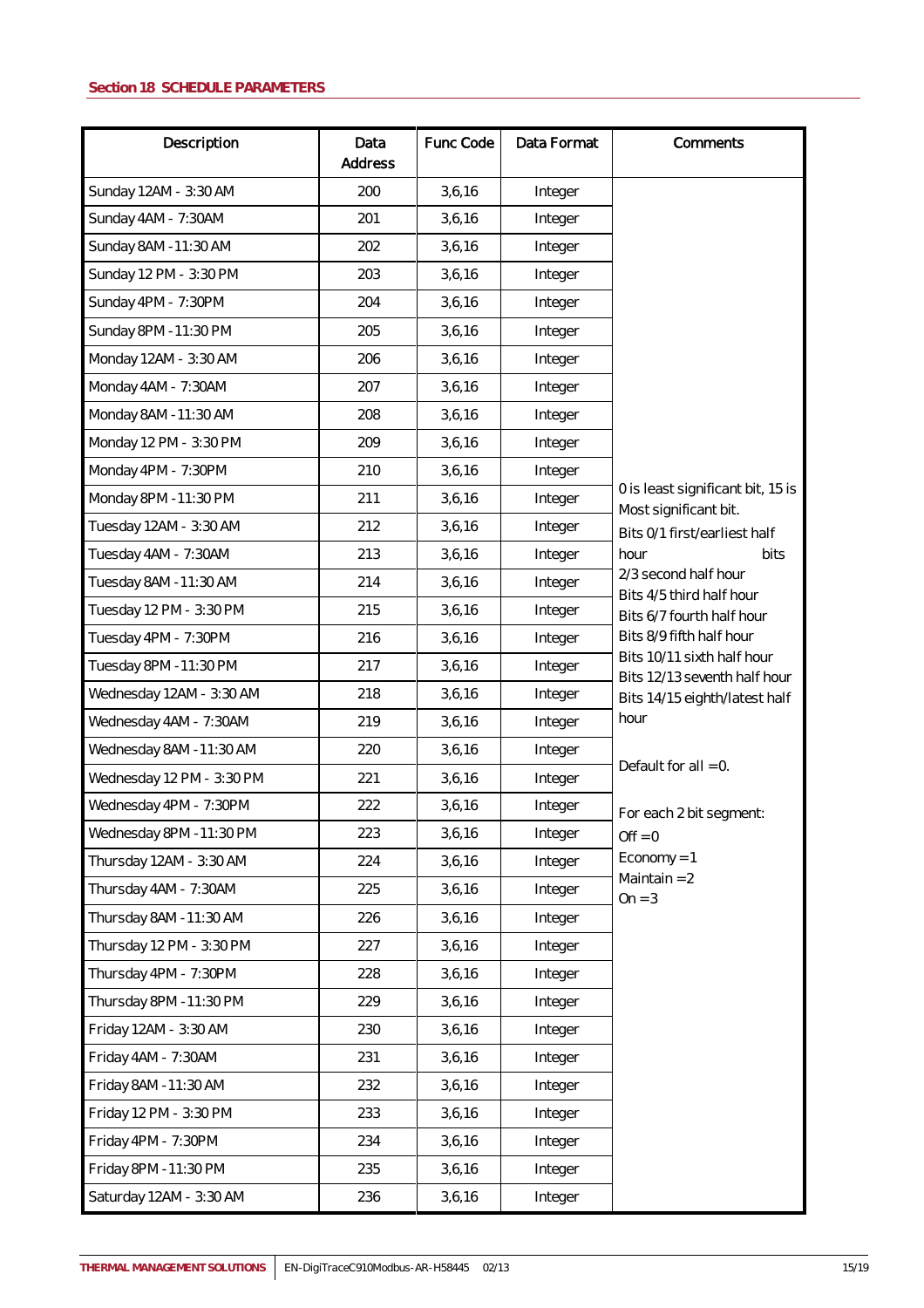<span id="page-14-0"></span>

| Description               | Data<br>Address | Func Code | Data Format | Comments                                                   |
|---------------------------|-----------------|-----------|-------------|------------------------------------------------------------|
| Sunday 12AM - 3:30 AM     | 200             | 3,6,16    | Integer     |                                                            |
| Sunday 4AM - 7:30AM       | 201             | 3,6,16    | Integer     |                                                            |
| Sunday 8AM -11:30 AM      | 202             | 3,6,16    | Integer     |                                                            |
| Sunday 12 PM - 3:30 PM    | 203             | 3,6,16    | Integer     |                                                            |
| Sunday 4PM - 7:30PM       | 204             | 3,6,16    | Integer     |                                                            |
| Sunday 8PM -11:30 PM      | 205             | 3,6,16    | Integer     |                                                            |
| Monday 12AM - 3:30 AM     | 206             | 3,6,16    | Integer     |                                                            |
| Monday 4AM - 7:30AM       | 207             | 3,6,16    | Integer     |                                                            |
| Monday 8AM -11:30 AM      | 208             | 3,6,16    | Integer     |                                                            |
| Monday 12 PM - 3:30 PM    | 209             | 3,6,16    | Integer     |                                                            |
| Monday 4PM - 7:30PM       | 210             | 3,6,16    | Integer     |                                                            |
| Monday 8PM -11:30 PM      | 211             | 3,6,16    | Integer     | 0 is least significant bit, 15 is<br>Most significant bit. |
| Tuesday 12AM - 3:30 AM    | 212             | 3,6,16    | Integer     | Bits 0/1 first/earliest half                               |
| Tuesday 4AM - 7:30AM      | 213             | 3,6,16    | Integer     | hour<br>bits                                               |
| Tuesday 8AM -11:30 AM     | 214             | 3,6,16    | Integer     | 2/3 second half hour                                       |
| Tuesday 12 PM - 3:30 PM   | 215             | 3,6,16    | Integer     | Bits 4/5 third half hour<br>Bits 6/7 fourth half hour      |
| Tuesday 4PM - 7:30PM      | 216             | 3,6,16    | Integer     | Bits 8/9 fifth half hour                                   |
| Tuesday 8PM -11:30 PM     | 217             | 3,6,16    | Integer     | Bits 10/11 sixth half hour<br>Bits 12/13 seventh half hour |
| Wednesday 12AM - 3:30 AM  | 218             | 3,6,16    | Integer     | Bits 14/15 eighth/latest half                              |
| Wednesday 4AM - 7:30AM    | 219             | 3,6,16    | Integer     | hour                                                       |
| Wednesday 8AM -11:30 AM   | 220             | 3,6,16    | Integer     |                                                            |
| Wednesday 12 PM - 3:30 PM | 221             | 3,6,16    | Integer     | Default for $all = 0$ .                                    |
| Wednesday 4PM - 7:30PM    | 222             | 3,6,16    | Integer     | For each 2 bit segment:                                    |
| Wednesday 8PM -11:30 PM   | 223             | 3,6,16    | Integer     | $Off = 0$                                                  |
| Thursday 12AM - 3:30 AM   | 224             | 3, 6, 16  | Integer     | $Economy = 1$                                              |
| Thursday 4AM - 7:30AM     | 225             | 3, 6, 16  | Integer     | Maintain $= 2$<br>$On = 3$                                 |
| Thursday 8AM -11:30 AM    | 226             | 3,6,16    | Integer     |                                                            |
| Thursday 12 PM - 3:30 PM  | 227             | 3,6,16    | Integer     |                                                            |
| Thursday 4PM - 7:30PM     | 228             | 3,6,16    | Integer     |                                                            |
| Thursday 8PM -11:30 PM    | 229             | 3,6,16    | Integer     |                                                            |
| Friday 12AM - 3:30 AM     | 230             | 3,6,16    | Integer     |                                                            |
| Friday 4AM - 7:30AM       | 231             | 3,6,16    | Integer     |                                                            |
| Friday 8AM -11:30 AM      | 232             | 3,6,16    | Integer     |                                                            |
| Friday 12 PM - 3:30 PM    | 233             | 3, 6, 16  | Integer     |                                                            |
| Friday 4PM - 7:30PM       | 234             | 3,6,16    | Integer     |                                                            |
| Friday 8PM -11:30 PM      | 235             | 3, 6, 16  | Integer     |                                                            |
| Saturday 12AM - 3:30 AM   | 236             | 3, 6, 16  | Integer     |                                                            |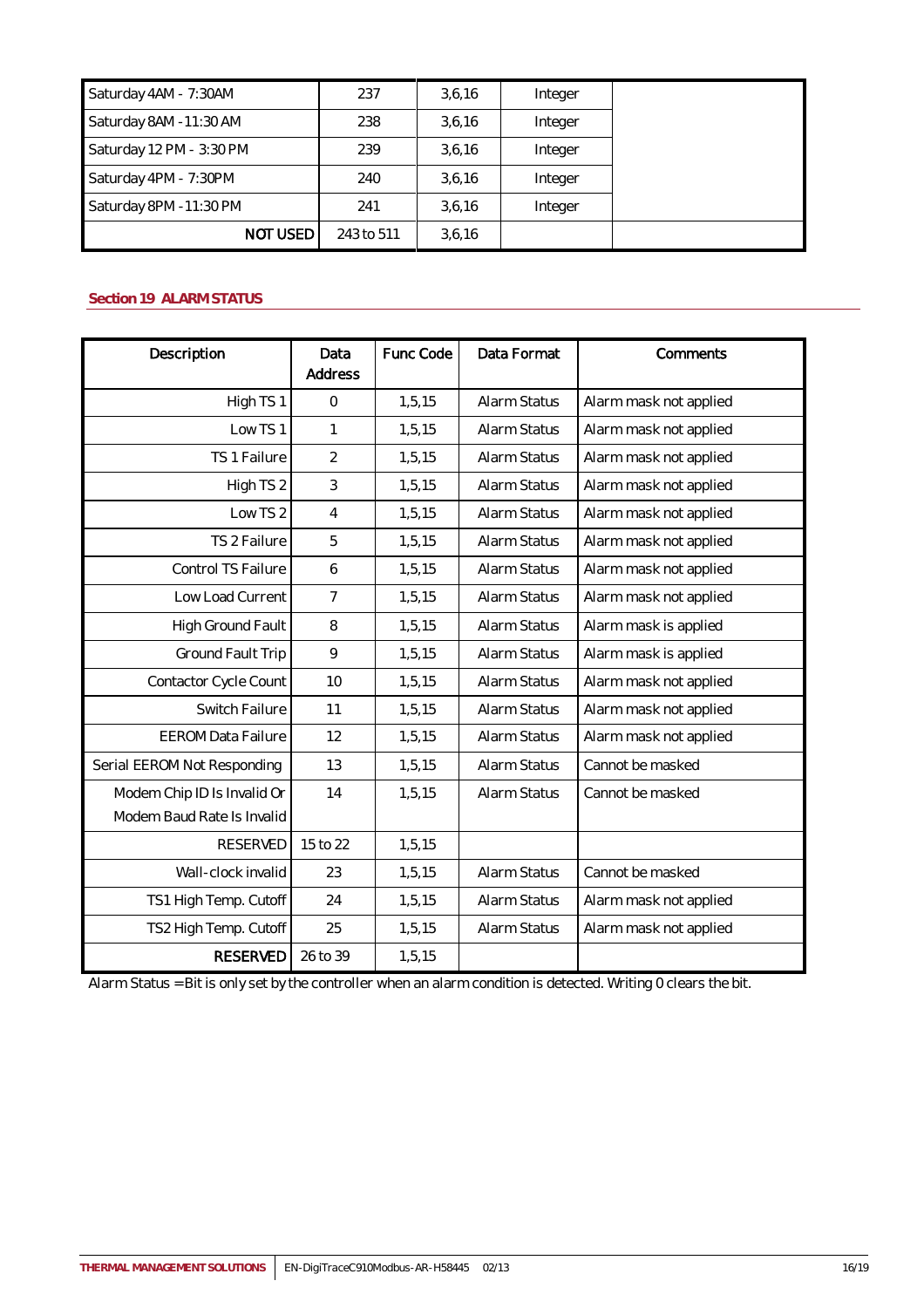| Saturday 4AM - 7:30AM    | 237        | 3,6,16 | Integer |  |
|--------------------------|------------|--------|---------|--|
| Saturday 8AM -11:30 AM   | 238        | 3,6,16 | Integer |  |
| Saturday 12 PM - 3:30 PM | 239        | 3,6,16 | Integer |  |
| Saturday 4PM - 7:30PM    | 240        | 3,6,16 | Integer |  |
| Saturday 8PM -11:30 PM   | 241        | 3.6.16 | Integer |  |
| NOT USED                 | 243 to 511 | 3,6,16 |         |  |

## <span id="page-15-0"></span>**Section 19 ALARM STATUS**

| Description                 | Data<br><b>Address</b> | Func Code | Data Format  | Comments               |
|-----------------------------|------------------------|-----------|--------------|------------------------|
|                             |                        |           |              |                        |
| High TS1                    | $\mathbf 0$            | 1, 5, 15  | Alarm Status | Alarm mask not applied |
| Low TS1                     | 1                      | 1,5,15    | Alarm Status | Alarm mask not applied |
| TS 1 Failure                | $\overline{2}$         | 1, 5, 15  | Alarm Status | Alarm mask not applied |
| High TS 2                   | 3                      | 1,5,15    | Alarm Status | Alarm mask not applied |
| Low TS 2                    | $\overline{4}$         | 1,5,15    | Alarm Status | Alarm mask not applied |
| TS 2 Failure                | 5                      | 1, 5, 15  | Alarm Status | Alarm mask not applied |
| Control TS Failure          | 6                      | 1,5,15    | Alarm Status | Alarm mask not applied |
| Low Load Current            | 7                      | 1, 5, 15  | Alarm Status | Alarm mask not applied |
| High Ground Fault           | 8                      | 1,5,15    | Alarm Status | Alarm mask is applied  |
| Ground Fault Trip           | 9                      | 1, 5, 15  | Alarm Status | Alarm mask is applied  |
| Contactor Cycle Count       | 10                     | 1,5,15    | Alarm Status | Alarm mask not applied |
| Switch Failure              | 11                     | 1, 5, 15  | Alarm Status | Alarm mask not applied |
| <b>EEROM Data Failure</b>   | 12                     | 1,5,15    | Alarm Status | Alarm mask not applied |
| Serial EEROM Not Responding | 13                     | 1, 5, 15  | Alarm Status | Cannot be masked       |
| Modem Chip ID Is Invalid Or | 14                     | 1, 5, 15  | Alarm Status | Cannot be masked       |
| Modem Baud Rate Is Invalid  |                        |           |              |                        |
| <b>RESERVED</b>             | 15 to 22               | 1,5,15    |              |                        |
| Wall-clock invalid          | 23                     | 1, 5, 15  | Alarm Status | Cannot be masked       |
| TS1 High Temp. Cutoff       | 24                     | 1,5,15    | Alarm Status | Alarm mask not applied |
| TS2 High Temp. Cutoff       | 25                     | 1, 5, 15  | Alarm Status | Alarm mask not applied |
| <b>RESERVED</b>             | 26 to 39               | 1,5,15    |              |                        |

Alarm Status = Bit is only set by the controller when an alarm condition is detected. Writing 0 clears the bit.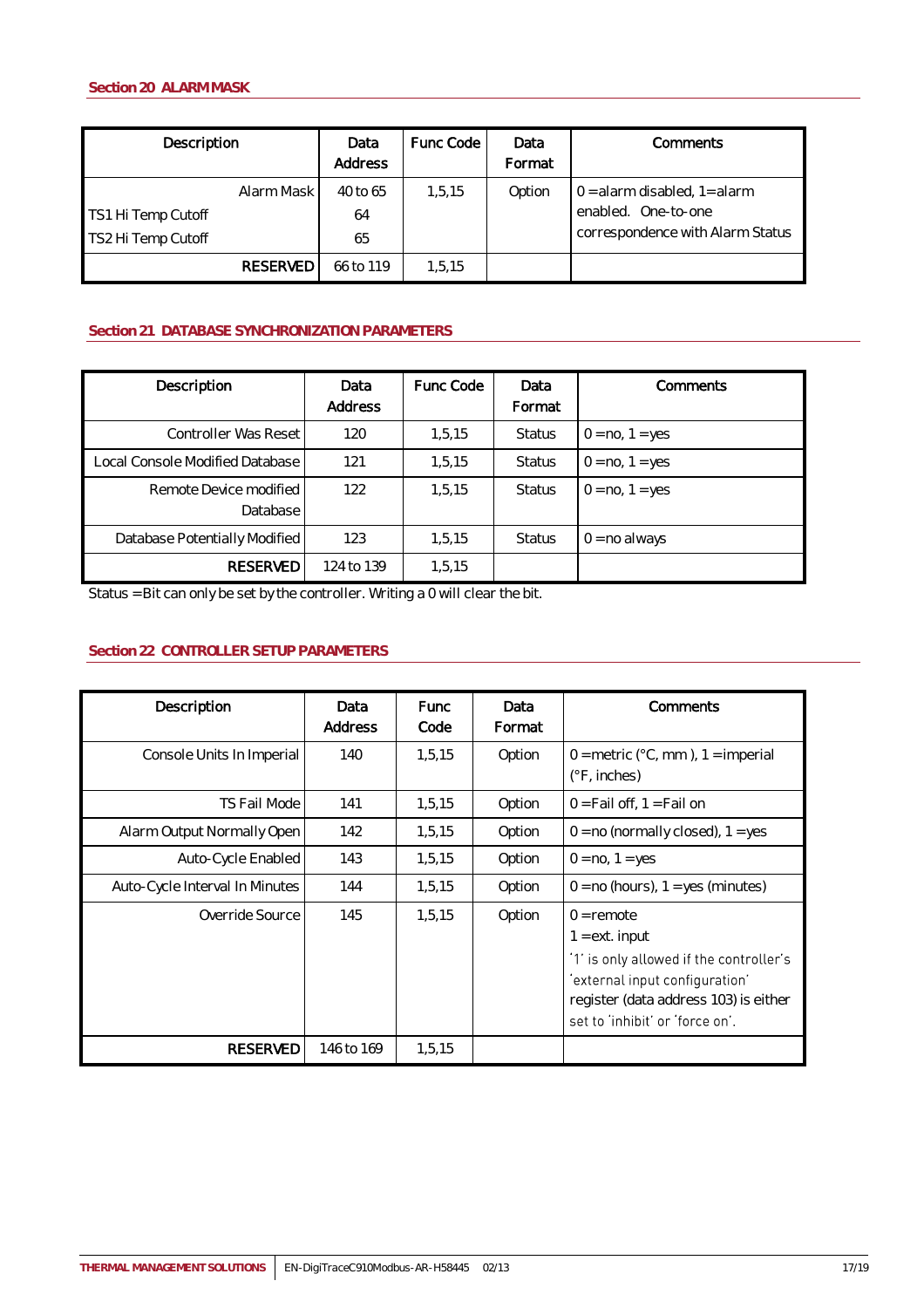<span id="page-16-0"></span>

| Description                              |                 | Data<br>Address      | Func Code | Data<br>Format | Comments                                                                                     |
|------------------------------------------|-----------------|----------------------|-----------|----------------|----------------------------------------------------------------------------------------------|
| TS1 Hi Temp Cutoff<br>TS2 Hi Temp Cutoff | Alarm Mask      | 40 to 65<br>64<br>65 | 1,5,15    | Option         | $0 =$ alarm disabled, $1 =$ alarm<br>enabled. One-to-one<br>correspondence with Alarm Status |
|                                          | <b>RESERVED</b> | 66 to 119            | 1,5,15    |                |                                                                                              |

## <span id="page-16-1"></span>**Section 21 DATABASE SYNCHRONIZATION PARAMETERS**

| Description                        | Data<br><b>Address</b> | Func Code | Data<br>Format | Comments          |
|------------------------------------|------------------------|-----------|----------------|-------------------|
| Controller Was Reset               | 120                    | 1.5.15    | <b>Status</b>  | $0 = no, 1 = yes$ |
| Local Console Modified Database    | 121                    | 1.5.15    | <b>Status</b>  | $0 = no, 1 = yes$ |
| Remote Device modified<br>Database | 122                    | 1.5.15    | <b>Status</b>  | $0 = no, 1 = yes$ |
| Database Potentially Modified      | 123                    | 1.5.15    | <b>Status</b>  | $0 = no$ always   |
| <b>RESERVED</b>                    | 124 to 139             | 1,5,15    |                |                   |

Status = Bit can only be set by the controller. Writing a 0 will clear the bit.

## <span id="page-16-2"></span>**Section 22 CONTROLLER SETUP PARAMETERS**

| Description                    | Data<br>Address | <b>Func</b><br>Code | Data<br>Format | Comments                                                                                                                                                                                  |
|--------------------------------|-----------------|---------------------|----------------|-------------------------------------------------------------------------------------------------------------------------------------------------------------------------------------------|
| Console Units In Imperial      | 140             | 1,5,15              | Option         | $0 =$ metric (°C, mm), 1 = imperial<br>$(°F,$ inches)                                                                                                                                     |
| TS Fail Mode                   | 141             | 1,5,15              | Option         | $0 =$ Fail off, 1 = Fail on                                                                                                                                                               |
| Alarm Output Normally Open     | 142             | 1,5,15              | Option         | $0 = no$ (normally closed), $1 = yes$                                                                                                                                                     |
| Auto-Cycle Enabled             | 143             | 1,5,15              | Option         | $0 = no, 1 = yes$                                                                                                                                                                         |
| Auto-Cycle Interval In Minutes | 144             | 1,5,15              | Option         | $0 = no$ (hours), $1 = yes$ (minutes)                                                                                                                                                     |
| Override Source                | 145             | 1,5,15              | Option         | $0 =$ remote<br>$1 = ext. input$<br>'1' is only allowed if the controller's<br>'external input configuration'<br>register (data address 103) is either<br>set to 'inhibit' or 'force on'. |
| <b>RESERVED</b>                | 146 to 169      | 1,5,15              |                |                                                                                                                                                                                           |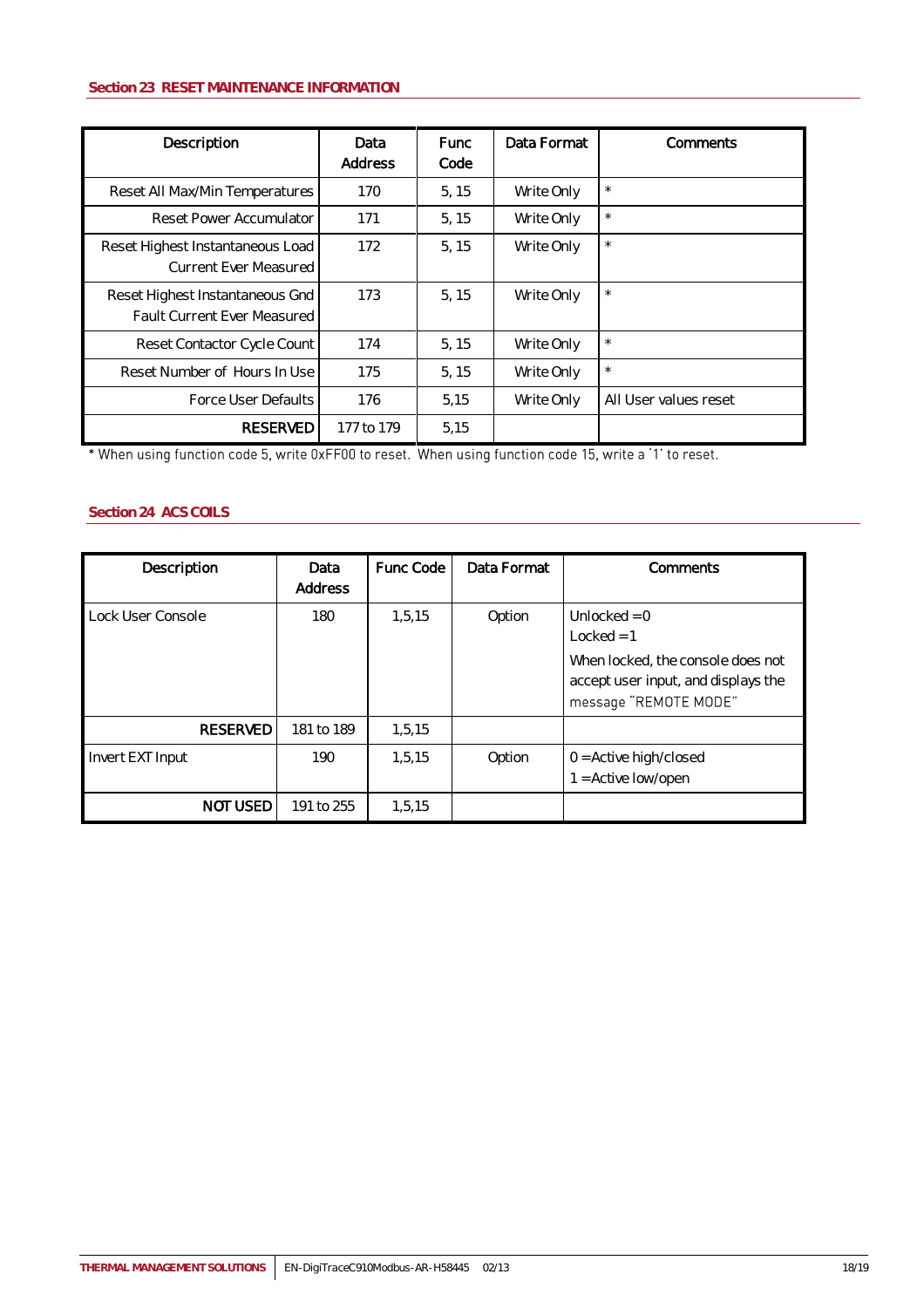## <span id="page-17-0"></span>**Section 23 RESET MAINTENANCE INFORMATION**

| Description                                                    | Data<br>Address | <b>Func</b><br>Code | Data Format | Comments              |
|----------------------------------------------------------------|-----------------|---------------------|-------------|-----------------------|
| Reset All Max/Min Temperatures                                 | 170             | 5, 15               | Write Only  | $\star$               |
| Reset Power Accumulator                                        | 171             | 5.15                | Write Only  | $\star$               |
| Reset Highest Instantaneous Load<br>Current Ever Measured      | 172             | 5.15                | Write Only  | $\star$               |
| Reset Highest Instantaneous Gnd<br>Fault Current Ever Measured | 173             | 5, 15               | Write Only  | $\star$               |
| Reset Contactor Cycle Count                                    | 174             | 5, 15               | Write Only  | $\star$               |
| Reset Number of Hours In Use                                   | 175             | 5, 15               | Write Only  | $\star$               |
| Force User Defaults                                            | 176             | 5,15                | Write Only  | All User values reset |
| <b>RESERVED</b>                                                | 177 to 179      | 5,15                |             |                       |

\* When using function code 5, write 0xFF00 to reset. When using function code 15, write a '1' to reset.

## <span id="page-17-1"></span>**Section 24 ACS COILS**

| Description       | Data<br>Address | Func Code | Data Format | Comments                                                                                                                            |
|-------------------|-----------------|-----------|-------------|-------------------------------------------------------------------------------------------------------------------------------------|
| Lock User Console | 180             | 1,5,15    | Option      | Unlocked = $0$<br>$Locked = 1$<br>When locked, the console does not<br>accept user input, and displays the<br>message "REMOTE MODE" |
| <b>RESERVED</b>   | 181 to 189      | 1,5,15    |             |                                                                                                                                     |
| Invert EXT Input  | 190             | 1.5.15    | Option      | $0 =$ Active high/closed<br>$1 =$ Active low/open                                                                                   |
| <b>NOT USED</b>   | 191 to 255      | 1,5,15    |             |                                                                                                                                     |